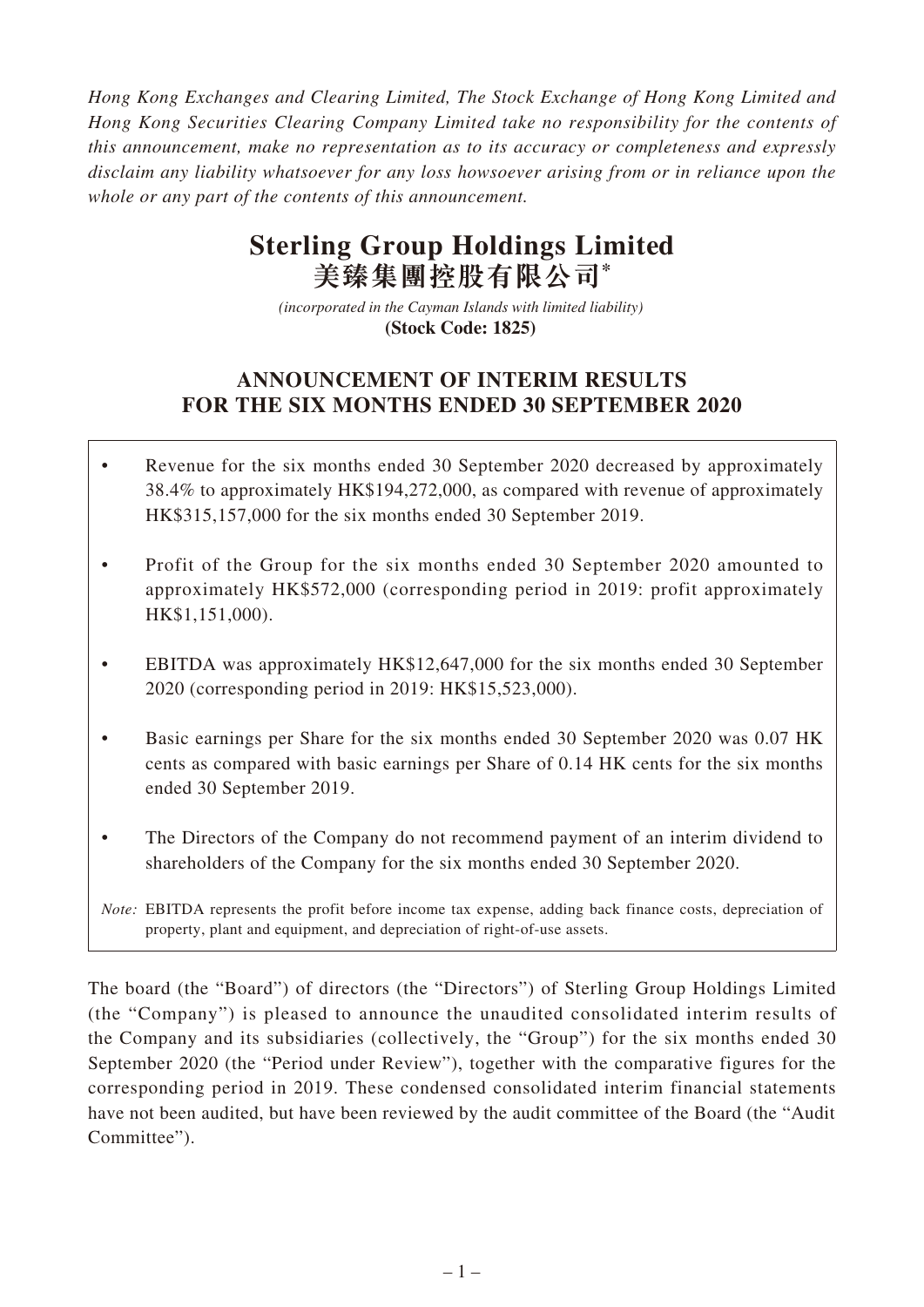*Hong Kong Exchanges and Clearing Limited, The Stock Exchange of Hong Kong Limited and Hong Kong Securities Clearing Company Limited take no responsibility for the contents of this announcement, make no representation as to its accuracy or completeness and expressly disclaim any liability whatsoever for any loss howsoever arising from or in reliance upon the whole or any part of the contents of this announcement.*

# **Sterling Group Holdings Limited 美臻集團控股有限公司\***

*(incorporated in the Cayman Islands with limited liability)*  **(Stock Code: 1825)** 

# **ANNOUNCEMENT OF INTERIM RESULTS FOR THE SIX MONTHS ENDED 30 SEPTEMBER 2020**

- Revenue for the six months ended 30 September 2020 decreased by approximately 38.4% to approximately HK\$194,272,000, as compared with revenue of approximately HK\$315,157,000 for the six months ended 30 September 2019.
- Profit of the Group for the six months ended 30 September 2020 amounted to approximately HK\$572,000 (corresponding period in 2019: profit approximately HK\$1,151,000).
- EBITDA was approximately HK\$12,647,000 for the six months ended 30 September 2020 (corresponding period in 2019: HK\$15,523,000).
- Basic earnings per Share for the six months ended 30 September 2020 was 0.07 HK cents as compared with basic earnings per Share of 0.14 HK cents for the six months ended 30 September 2019.
- The Directors of the Company do not recommend payment of an interim dividend to shareholders of the Company for the six months ended 30 September 2020.

The board (the "Board") of directors (the "Directors") of Sterling Group Holdings Limited (the "Company") is pleased to announce the unaudited consolidated interim results of the Company and its subsidiaries (collectively, the "Group") for the six months ended 30 September 2020 (the "Period under Review"), together with the comparative figures for the corresponding period in 2019. These condensed consolidated interim financial statements have not been audited, but have been reviewed by the audit committee of the Board (the "Audit Committee").

*Note:* EBITDA represents the profit before income tax expense, adding back finance costs, depreciation of property, plant and equipment, and depreciation of right-of-use assets.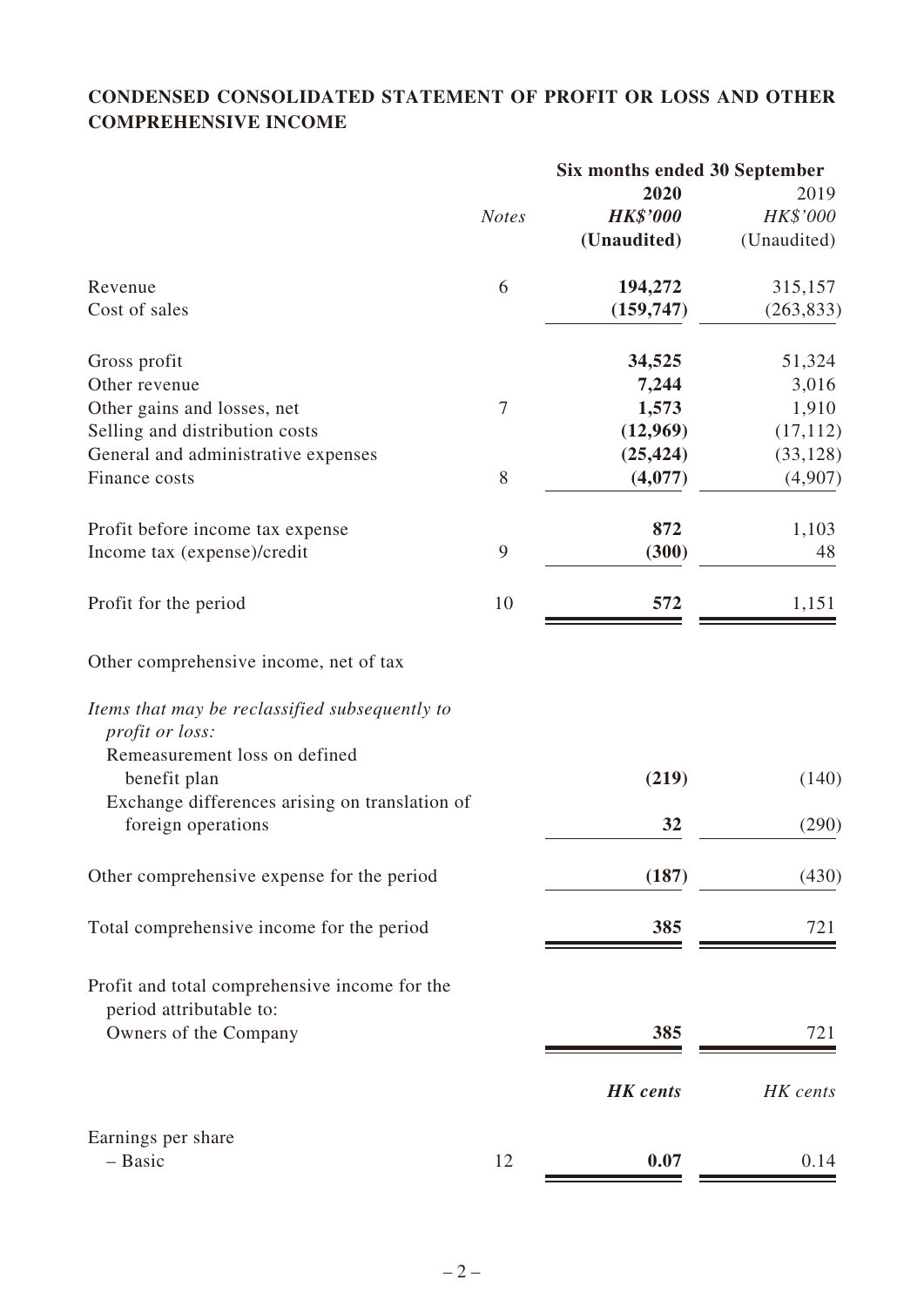# **CONDENSED CONSOLIDATED STATEMENT OF PROFIT OR LOSS AND OTHER COMPREHENSIVE INCOME**

|                                                                                                             | Six months ended 30 September |                 |             |
|-------------------------------------------------------------------------------------------------------------|-------------------------------|-----------------|-------------|
|                                                                                                             |                               | 2020            | 2019        |
|                                                                                                             | <b>Notes</b>                  | <b>HK\$'000</b> | HK\$'000    |
|                                                                                                             |                               | (Unaudited)     | (Unaudited) |
| Revenue                                                                                                     | 6                             | 194,272         | 315,157     |
| Cost of sales                                                                                               |                               | (159, 747)      | (263, 833)  |
| Gross profit                                                                                                |                               | 34,525          | 51,324      |
| Other revenue                                                                                               |                               | 7,244           | 3,016       |
| Other gains and losses, net                                                                                 | $\boldsymbol{7}$              | 1,573           | 1,910       |
| Selling and distribution costs                                                                              |                               | (12,969)        | (17, 112)   |
| General and administrative expenses                                                                         |                               | (25, 424)       | (33, 128)   |
| Finance costs                                                                                               | 8                             | (4,077)         | (4,907)     |
| Profit before income tax expense                                                                            |                               | 872             | 1,103       |
| Income tax (expense)/credit                                                                                 | 9                             | (300)           | 48          |
| Profit for the period                                                                                       | 10                            | 572             | 1,151       |
| Other comprehensive income, net of tax<br>Items that may be reclassified subsequently to<br>profit or loss: |                               |                 |             |
| Remeasurement loss on defined<br>benefit plan                                                               |                               | (219)           | (140)       |
| Exchange differences arising on translation of<br>foreign operations                                        |                               | 32              | (290)       |
| Other comprehensive expense for the period                                                                  |                               | (187)           | (430)       |
| Total comprehensive income for the period                                                                   |                               | 385             | 721         |
| Profit and total comprehensive income for the                                                               |                               |                 |             |
| period attributable to:<br>Owners of the Company                                                            |                               | 385             | 721         |
|                                                                                                             |                               | <b>HK</b> cents | HK cents    |
| Earnings per share                                                                                          |                               |                 |             |
| - Basic                                                                                                     | 12                            | 0.07            | 0.14        |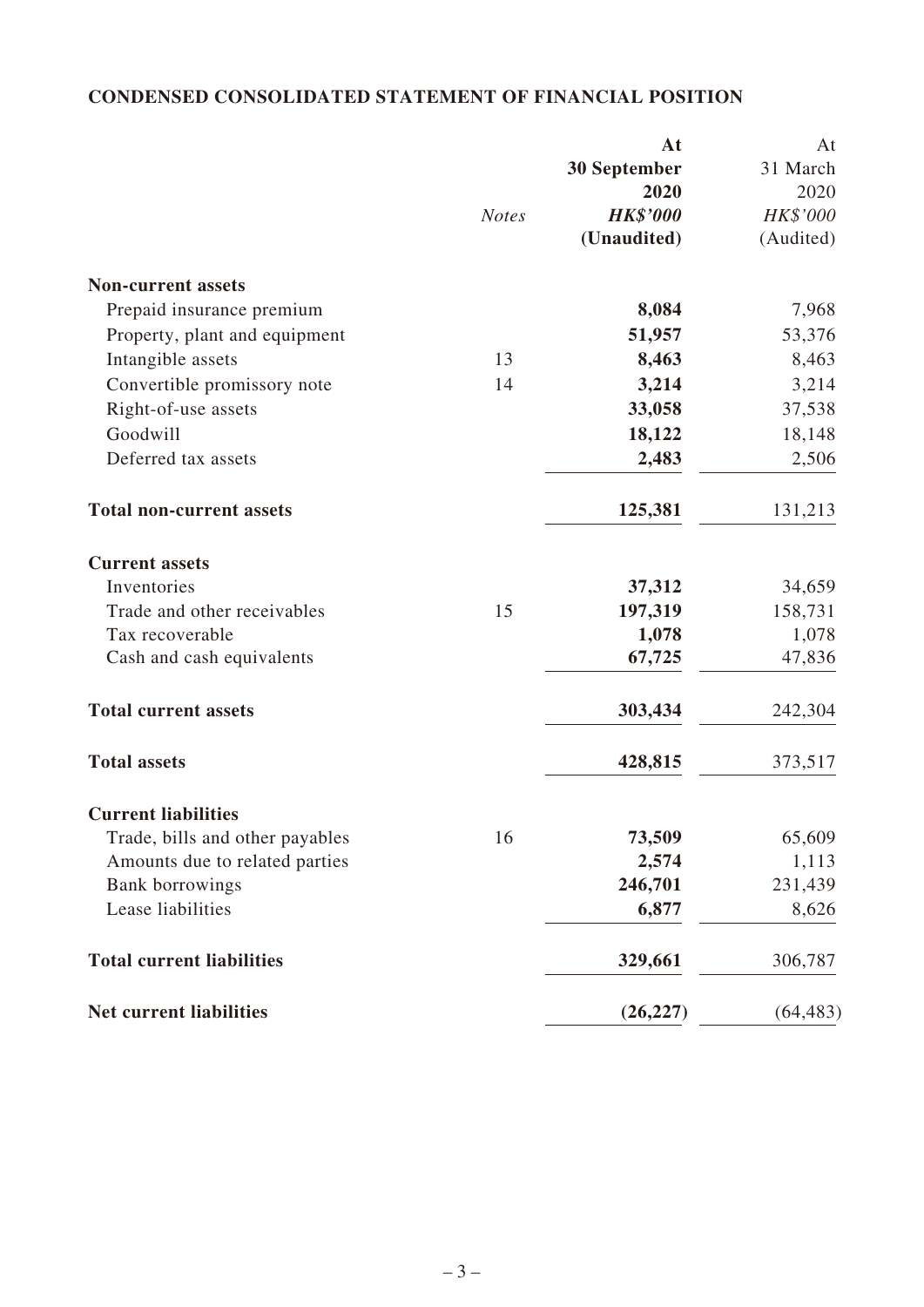# **CONDENSED CONSOLIDATED STATEMENT OF FINANCIAL POSITION**

|                                  |              | At                  | At        |
|----------------------------------|--------------|---------------------|-----------|
|                                  |              | <b>30 September</b> | 31 March  |
|                                  |              | 2020                | 2020      |
|                                  | <b>Notes</b> | <b>HK\$'000</b>     | HK\$'000  |
|                                  |              | (Unaudited)         | (Audited) |
| <b>Non-current assets</b>        |              |                     |           |
| Prepaid insurance premium        |              | 8,084               | 7,968     |
| Property, plant and equipment    |              | 51,957              | 53,376    |
| Intangible assets                | 13           | 8,463               | 8,463     |
| Convertible promissory note      | 14           | 3,214               | 3,214     |
| Right-of-use assets              |              | 33,058              | 37,538    |
| Goodwill                         |              | 18,122              | 18,148    |
| Deferred tax assets              |              | 2,483               | 2,506     |
| <b>Total non-current assets</b>  |              | 125,381             | 131,213   |
| <b>Current assets</b>            |              |                     |           |
| Inventories                      |              | 37,312              | 34,659    |
| Trade and other receivables      | 15           | 197,319             | 158,731   |
| Tax recoverable                  |              | 1,078               | 1,078     |
| Cash and cash equivalents        |              | 67,725              | 47,836    |
| <b>Total current assets</b>      |              | 303,434             | 242,304   |
| <b>Total assets</b>              |              | 428,815             | 373,517   |
| <b>Current liabilities</b>       |              |                     |           |
| Trade, bills and other payables  | 16           | 73,509              | 65,609    |
| Amounts due to related parties   |              | 2,574               | 1,113     |
| Bank borrowings                  |              | 246,701             | 231,439   |
| Lease liabilities                |              | 6,877               | 8,626     |
| <b>Total current liabilities</b> |              | 329,661             | 306,787   |
| <b>Net current liabilities</b>   |              | (26, 227)           | (64, 483) |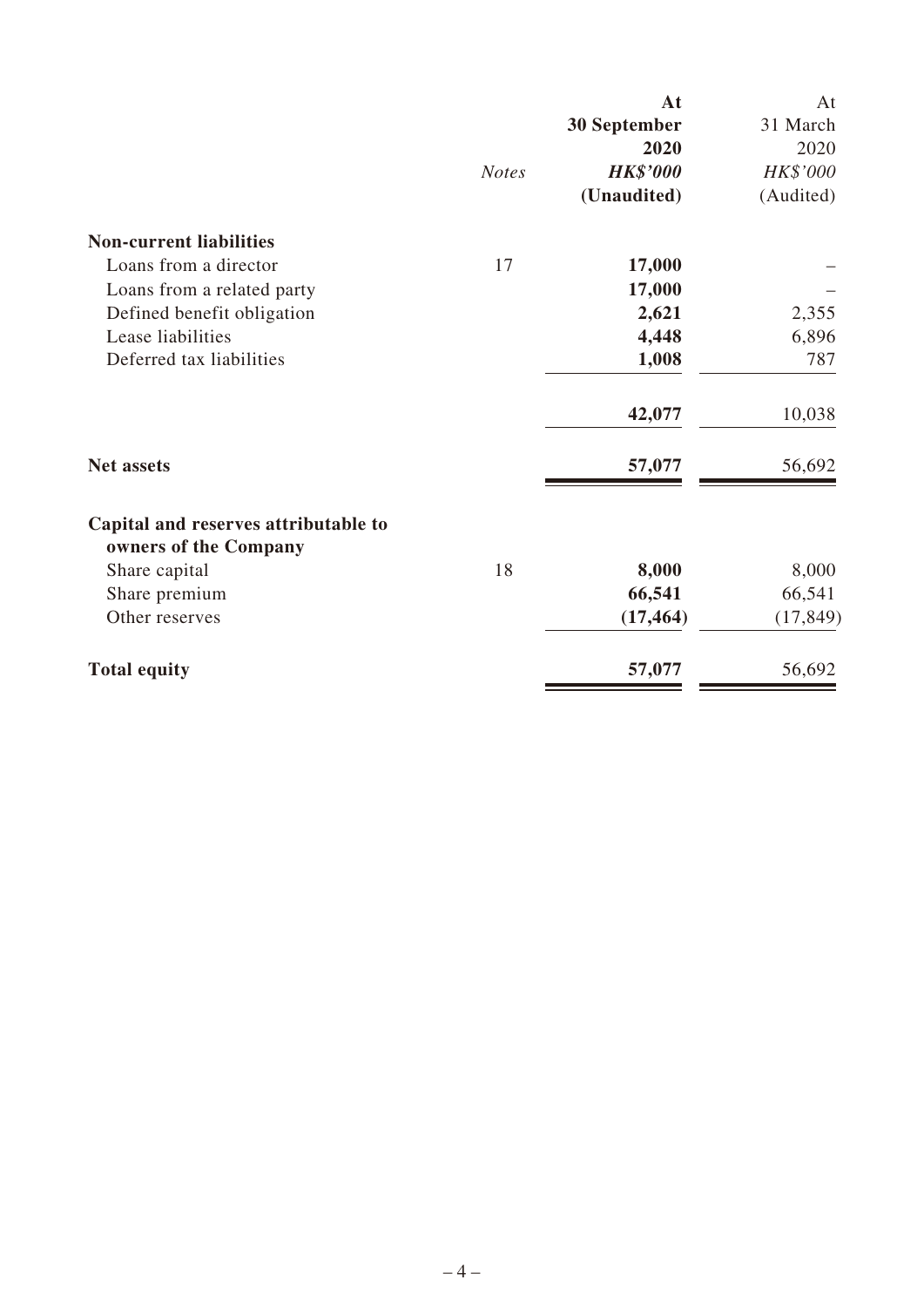|                                                               |              | At              | At        |
|---------------------------------------------------------------|--------------|-----------------|-----------|
|                                                               |              | 30 September    | 31 March  |
|                                                               |              | 2020            | 2020      |
|                                                               | <b>Notes</b> | <b>HK\$'000</b> | HK\$'000  |
|                                                               |              | (Unaudited)     | (Audited) |
| <b>Non-current liabilities</b>                                |              |                 |           |
| Loans from a director                                         | 17           | 17,000          |           |
| Loans from a related party                                    |              | 17,000          |           |
| Defined benefit obligation                                    |              | 2,621           | 2,355     |
| Lease liabilities                                             |              | 4,448           | 6,896     |
| Deferred tax liabilities                                      |              | 1,008           | 787       |
|                                                               |              | 42,077          | 10,038    |
| <b>Net assets</b>                                             |              | 57,077          | 56,692    |
| Capital and reserves attributable to<br>owners of the Company |              |                 |           |
| Share capital                                                 | 18           | 8,000           | 8,000     |
| Share premium                                                 |              | 66,541          | 66,541    |
| Other reserves                                                |              | (17, 464)       | (17, 849) |
| <b>Total equity</b>                                           |              | 57,077          | 56,692    |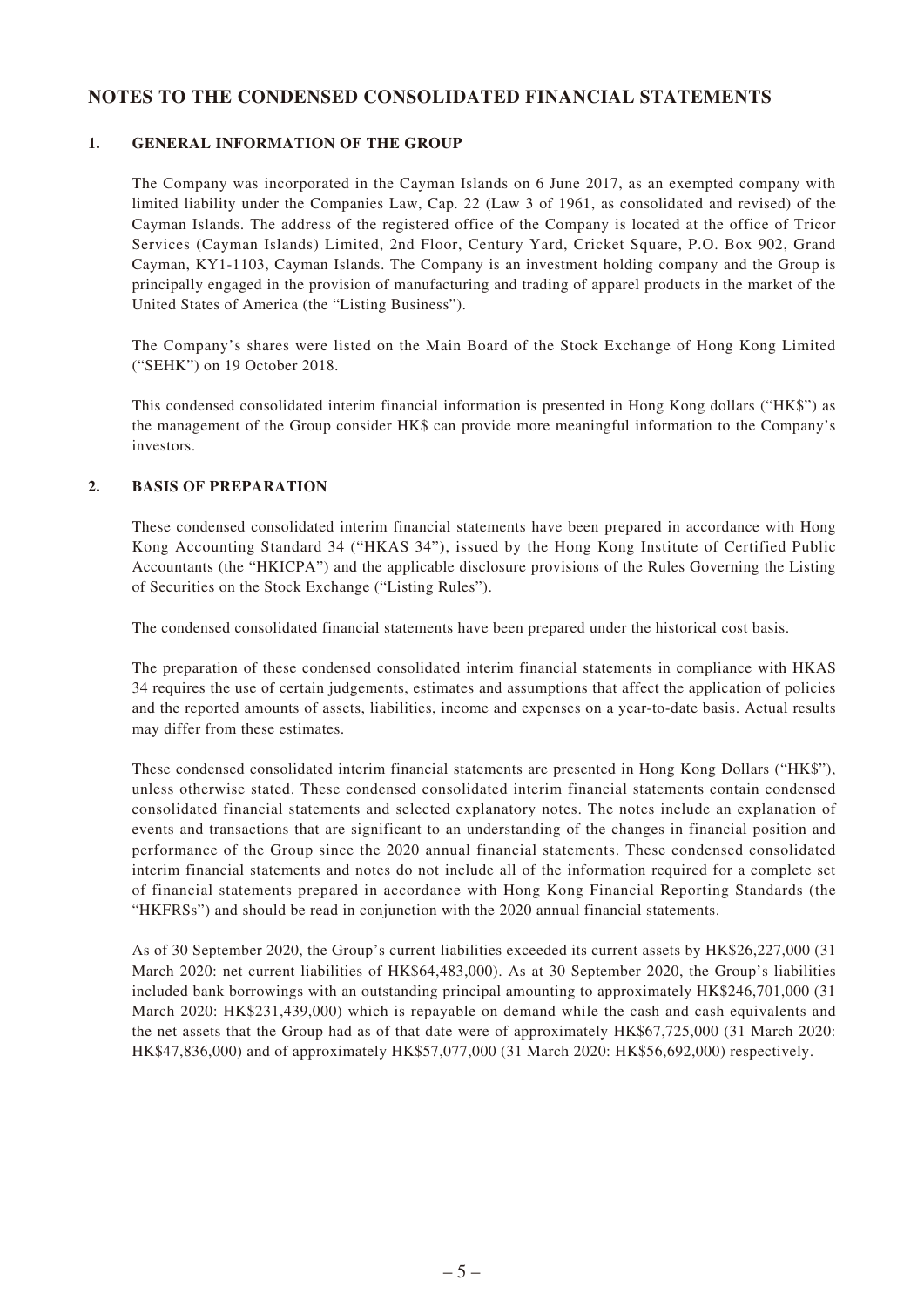### **NOTES TO THE CONDENSED CONSOLIDATED FINANCIAL STATEMENTS**

### **1. GENERAL INFORMATION OF THE GROUP**

The Company was incorporated in the Cayman Islands on 6 June 2017, as an exempted company with limited liability under the Companies Law, Cap. 22 (Law 3 of 1961, as consolidated and revised) of the Cayman Islands. The address of the registered office of the Company is located at the office of Tricor Services (Cayman Islands) Limited, 2nd Floor, Century Yard, Cricket Square, P.O. Box 902, Grand Cayman, KY1-1103, Cayman Islands. The Company is an investment holding company and the Group is principally engaged in the provision of manufacturing and trading of apparel products in the market of the United States of America (the "Listing Business").

The Company's shares were listed on the Main Board of the Stock Exchange of Hong Kong Limited ("SEHK") on 19 October 2018.

This condensed consolidated interim financial information is presented in Hong Kong dollars ("HK\$") as the management of the Group consider HK\$ can provide more meaningful information to the Company's investors.

### **2. BASIS OF PREPARATION**

These condensed consolidated interim financial statements have been prepared in accordance with Hong Kong Accounting Standard 34 ("HKAS 34"), issued by the Hong Kong Institute of Certified Public Accountants (the "HKICPA") and the applicable disclosure provisions of the Rules Governing the Listing of Securities on the Stock Exchange ("Listing Rules").

The condensed consolidated financial statements have been prepared under the historical cost basis.

The preparation of these condensed consolidated interim financial statements in compliance with HKAS 34 requires the use of certain judgements, estimates and assumptions that affect the application of policies and the reported amounts of assets, liabilities, income and expenses on a year-to-date basis. Actual results may differ from these estimates.

These condensed consolidated interim financial statements are presented in Hong Kong Dollars ("HK\$"), unless otherwise stated. These condensed consolidated interim financial statements contain condensed consolidated financial statements and selected explanatory notes. The notes include an explanation of events and transactions that are significant to an understanding of the changes in financial position and performance of the Group since the 2020 annual financial statements. These condensed consolidated interim financial statements and notes do not include all of the information required for a complete set of financial statements prepared in accordance with Hong Kong Financial Reporting Standards (the "HKFRSs") and should be read in conjunction with the 2020 annual financial statements.

As of 30 September 2020, the Group's current liabilities exceeded its current assets by HK\$26,227,000 (31 March 2020: net current liabilities of HK\$64,483,000). As at 30 September 2020, the Group's liabilities included bank borrowings with an outstanding principal amounting to approximately HK\$246,701,000 (31 March 2020: HK\$231,439,000) which is repayable on demand while the cash and cash equivalents and the net assets that the Group had as of that date were of approximately HK\$67,725,000 (31 March 2020: HK\$47,836,000) and of approximately HK\$57,077,000 (31 March 2020: HK\$56,692,000) respectively.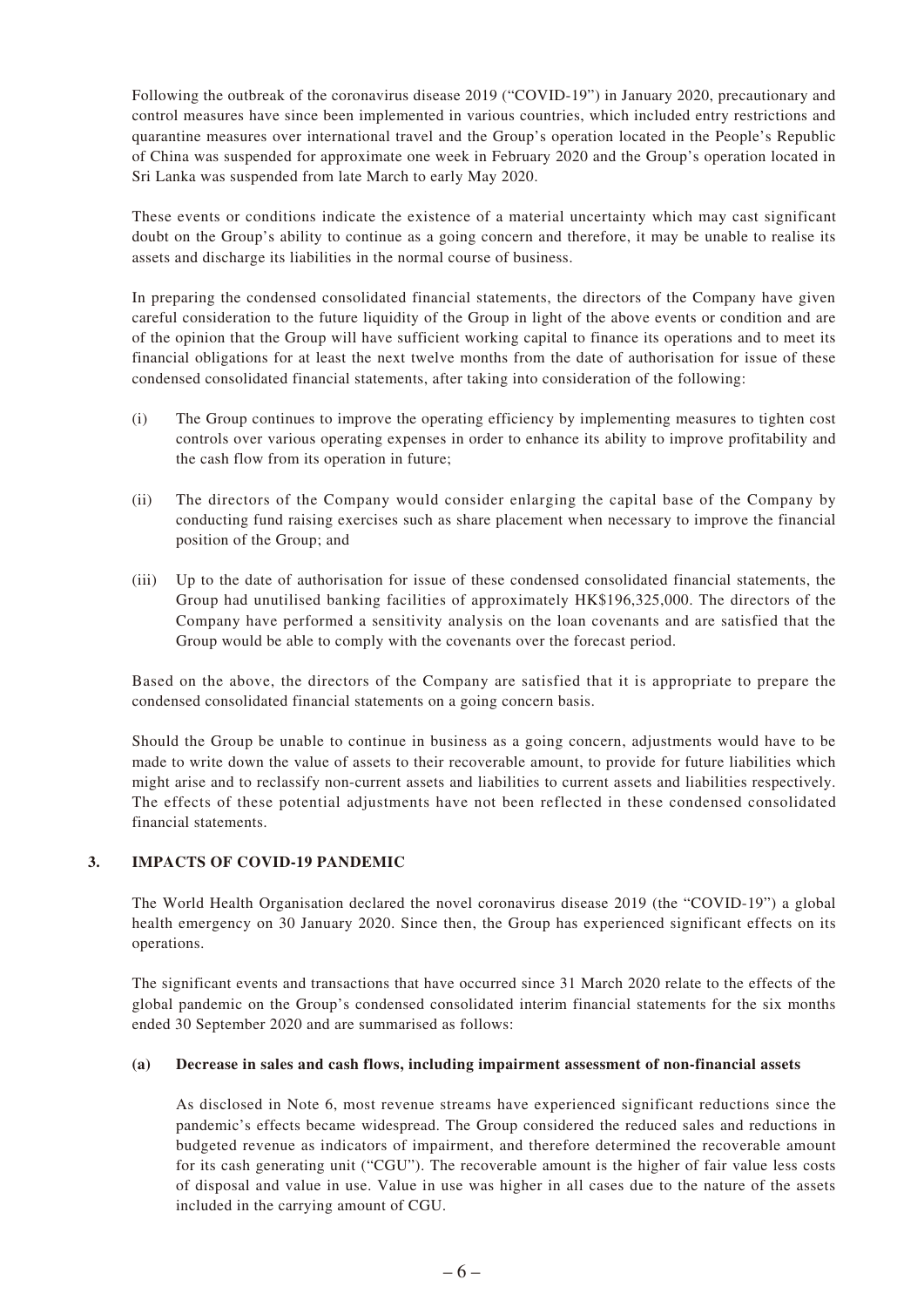Following the outbreak of the coronavirus disease 2019 ("COVID-19") in January 2020, precautionary and control measures have since been implemented in various countries, which included entry restrictions and quarantine measures over international travel and the Group's operation located in the People's Republic of China was suspended for approximate one week in February 2020 and the Group's operation located in Sri Lanka was suspended from late March to early May 2020.

These events or conditions indicate the existence of a material uncertainty which may cast significant doubt on the Group's ability to continue as a going concern and therefore, it may be unable to realise its assets and discharge its liabilities in the normal course of business.

In preparing the condensed consolidated financial statements, the directors of the Company have given careful consideration to the future liquidity of the Group in light of the above events or condition and are of the opinion that the Group will have sufficient working capital to finance its operations and to meet its financial obligations for at least the next twelve months from the date of authorisation for issue of these condensed consolidated financial statements, after taking into consideration of the following:

- (i) The Group continues to improve the operating efficiency by implementing measures to tighten cost controls over various operating expenses in order to enhance its ability to improve profitability and the cash flow from its operation in future;
- (ii) The directors of the Company would consider enlarging the capital base of the Company by conducting fund raising exercises such as share placement when necessary to improve the financial position of the Group; and
- (iii) Up to the date of authorisation for issue of these condensed consolidated financial statements, the Group had unutilised banking facilities of approximately HK\$196,325,000. The directors of the Company have performed a sensitivity analysis on the loan covenants and are satisfied that the Group would be able to comply with the covenants over the forecast period.

Based on the above, the directors of the Company are satisfied that it is appropriate to prepare the condensed consolidated financial statements on a going concern basis.

Should the Group be unable to continue in business as a going concern, adjustments would have to be made to write down the value of assets to their recoverable amount, to provide for future liabilities which might arise and to reclassify non-current assets and liabilities to current assets and liabilities respectively. The effects of these potential adjustments have not been reflected in these condensed consolidated financial statements.

### **3. IMPACTS OF COVID-19 PANDEMIC**

The World Health Organisation declared the novel coronavirus disease 2019 (the "COVID-19") a global health emergency on 30 January 2020. Since then, the Group has experienced significant effects on its operations.

The significant events and transactions that have occurred since 31 March 2020 relate to the effects of the global pandemic on the Group's condensed consolidated interim financial statements for the six months ended 30 September 2020 and are summarised as follows:

#### **(a) Decrease in sales and cash flows, including impairment assessment of non-financial assets**

As disclosed in Note 6, most revenue streams have experienced significant reductions since the pandemic's effects became widespread. The Group considered the reduced sales and reductions in budgeted revenue as indicators of impairment, and therefore determined the recoverable amount for its cash generating unit ("CGU"). The recoverable amount is the higher of fair value less costs of disposal and value in use. Value in use was higher in all cases due to the nature of the assets included in the carrying amount of CGU.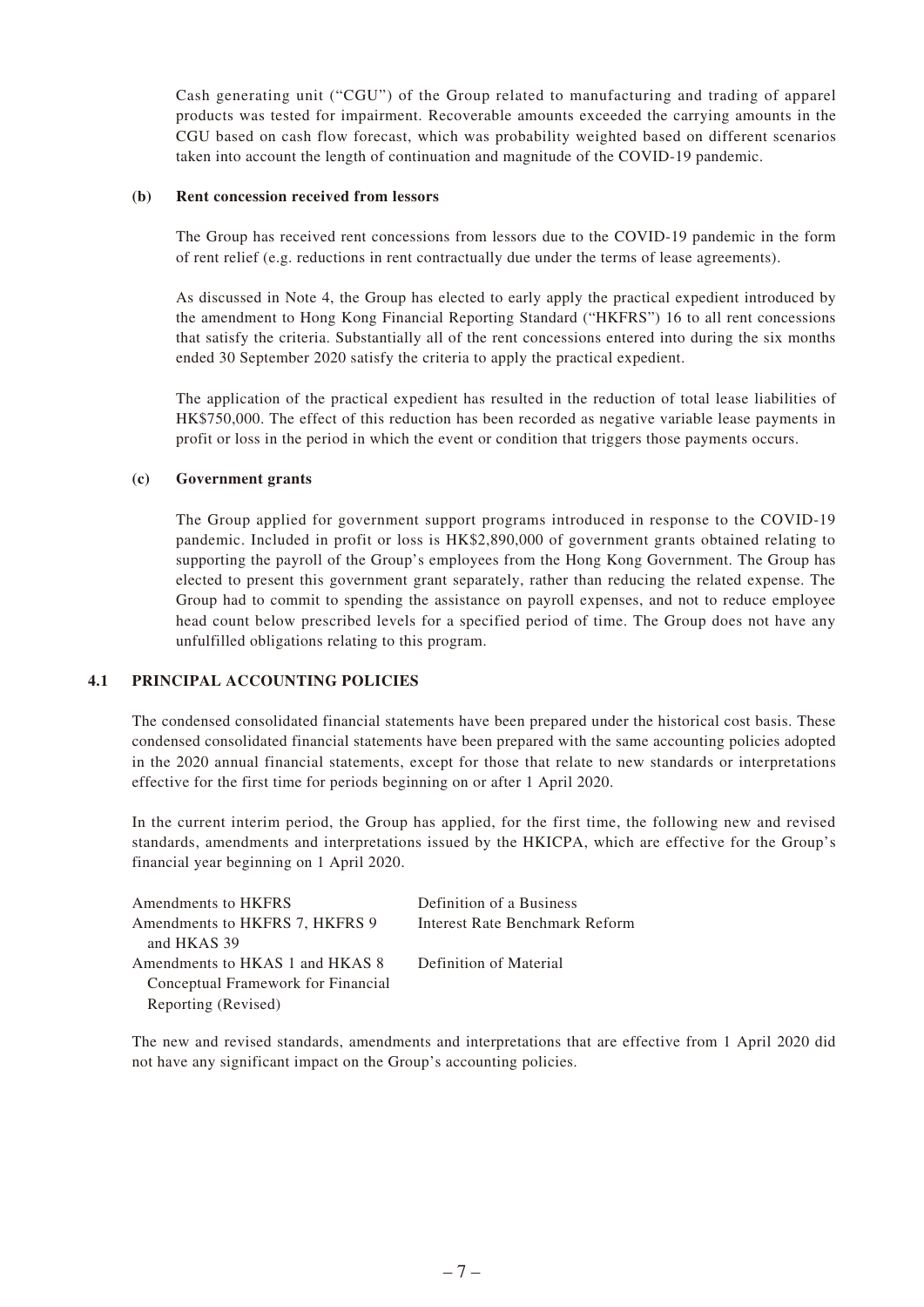Cash generating unit ("CGU") of the Group related to manufacturing and trading of apparel products was tested for impairment. Recoverable amounts exceeded the carrying amounts in the CGU based on cash flow forecast, which was probability weighted based on different scenarios taken into account the length of continuation and magnitude of the COVID-19 pandemic.

#### **(b) Rent concession received from lessors**

The Group has received rent concessions from lessors due to the COVID-19 pandemic in the form of rent relief (e.g. reductions in rent contractually due under the terms of lease agreements).

As discussed in Note 4, the Group has elected to early apply the practical expedient introduced by the amendment to Hong Kong Financial Reporting Standard ("HKFRS") 16 to all rent concessions that satisfy the criteria. Substantially all of the rent concessions entered into during the six months ended 30 September 2020 satisfy the criteria to apply the practical expedient.

The application of the practical expedient has resulted in the reduction of total lease liabilities of HK\$750,000. The effect of this reduction has been recorded as negative variable lease payments in profit or loss in the period in which the event or condition that triggers those payments occurs.

#### **(c) Government grants**

The Group applied for government support programs introduced in response to the COVID-19 pandemic. Included in profit or loss is HK\$2,890,000 of government grants obtained relating to supporting the payroll of the Group's employees from the Hong Kong Government. The Group has elected to present this government grant separately, rather than reducing the related expense. The Group had to commit to spending the assistance on payroll expenses, and not to reduce employee head count below prescribed levels for a specified period of time. The Group does not have any unfulfilled obligations relating to this program.

#### **4.1 PRINCIPAL ACCOUNTING POLICIES**

The condensed consolidated financial statements have been prepared under the historical cost basis. These condensed consolidated financial statements have been prepared with the same accounting policies adopted in the 2020 annual financial statements, except for those that relate to new standards or interpretations effective for the first time for periods beginning on or after 1 April 2020.

In the current interim period, the Group has applied, for the first time, the following new and revised standards, amendments and interpretations issued by the HKICPA, which are effective for the Group's financial year beginning on 1 April 2020.

| Amendments to HKFRS                | Definition of a Business       |
|------------------------------------|--------------------------------|
| Amendments to HKFRS 7, HKFRS 9     | Interest Rate Benchmark Reform |
| and HKAS 39                        |                                |
| Amendments to HKAS 1 and HKAS 8    | Definition of Material         |
| Conceptual Framework for Financial |                                |
| Reporting (Revised)                |                                |

The new and revised standards, amendments and interpretations that are effective from 1 April 2020 did not have any significant impact on the Group's accounting policies.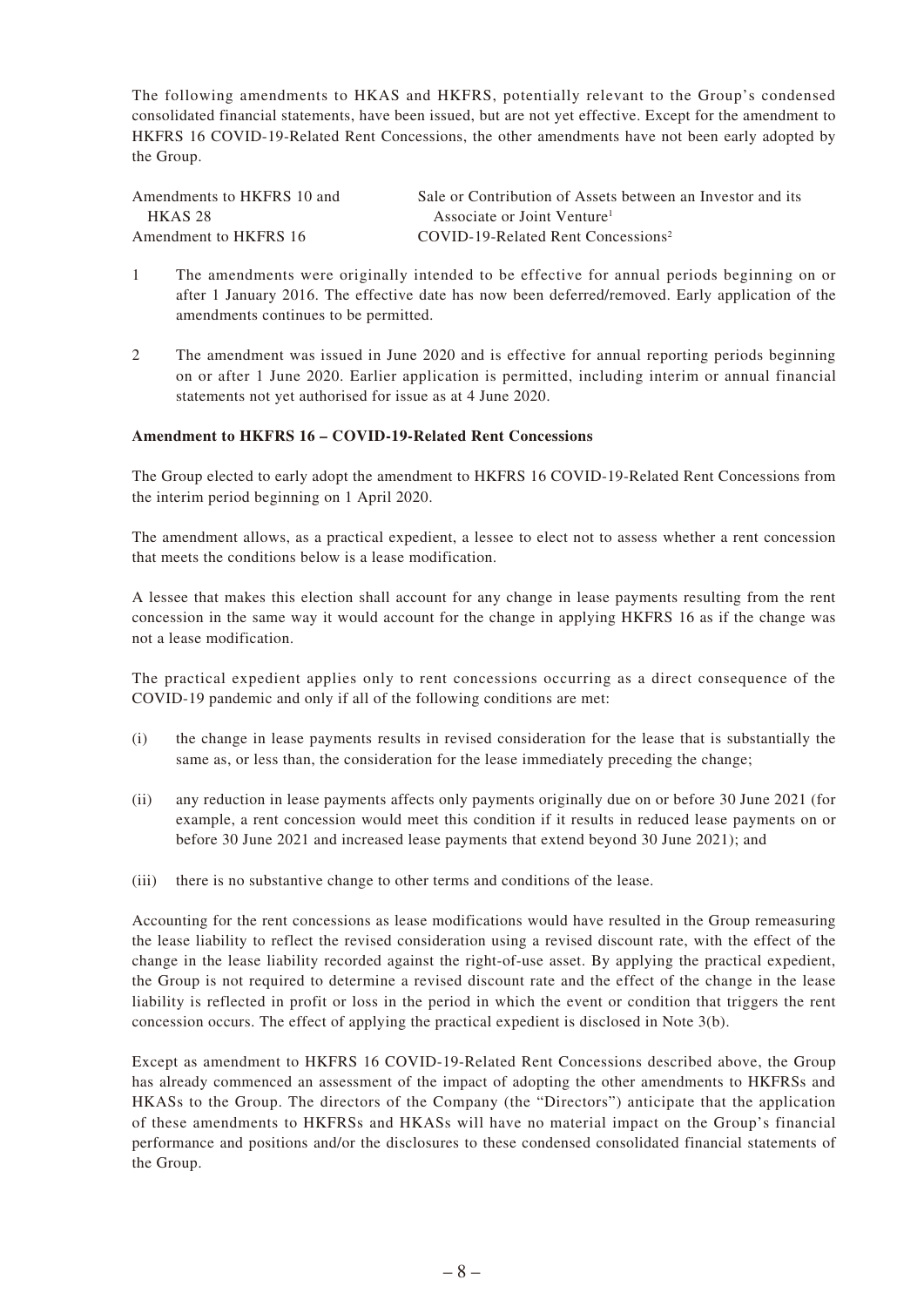The following amendments to HKAS and HKFRS, potentially relevant to the Group's condensed consolidated financial statements, have been issued, but are not yet effective. Except for the amendment to HKFRS 16 COVID-19-Related Rent Concessions, the other amendments have not been early adopted by the Group.

| Amendments to HKFRS 10 and | Sale or Contribution of Assets between an Investor and its |
|----------------------------|------------------------------------------------------------|
| <b>HKAS 28</b>             | Associate or Joint Venture <sup>1</sup>                    |
| Amendment to HKFRS 16      | COVID-19-Related Rent Concessions <sup>2</sup>             |

- 1 The amendments were originally intended to be effective for annual periods beginning on or after 1 January 2016. The effective date has now been deferred/removed. Early application of the amendments continues to be permitted.
- 2 The amendment was issued in June 2020 and is effective for annual reporting periods beginning on or after 1 June 2020. Earlier application is permitted, including interim or annual financial statements not yet authorised for issue as at 4 June 2020.

#### **Amendment to HKFRS 16 – COVID-19-Related Rent Concessions**

The Group elected to early adopt the amendment to HKFRS 16 COVID-19-Related Rent Concessions from the interim period beginning on 1 April 2020.

The amendment allows, as a practical expedient, a lessee to elect not to assess whether a rent concession that meets the conditions below is a lease modification.

A lessee that makes this election shall account for any change in lease payments resulting from the rent concession in the same way it would account for the change in applying HKFRS 16 as if the change was not a lease modification.

The practical expedient applies only to rent concessions occurring as a direct consequence of the COVID-19 pandemic and only if all of the following conditions are met:

- (i) the change in lease payments results in revised consideration for the lease that is substantially the same as, or less than, the consideration for the lease immediately preceding the change;
- (ii) any reduction in lease payments affects only payments originally due on or before 30 June 2021 (for example, a rent concession would meet this condition if it results in reduced lease payments on or before 30 June 2021 and increased lease payments that extend beyond 30 June 2021); and
- (iii) there is no substantive change to other terms and conditions of the lease.

Accounting for the rent concessions as lease modifications would have resulted in the Group remeasuring the lease liability to reflect the revised consideration using a revised discount rate, with the effect of the change in the lease liability recorded against the right-of-use asset. By applying the practical expedient, the Group is not required to determine a revised discount rate and the effect of the change in the lease liability is reflected in profit or loss in the period in which the event or condition that triggers the rent concession occurs. The effect of applying the practical expedient is disclosed in Note 3(b).

Except as amendment to HKFRS 16 COVID-19-Related Rent Concessions described above, the Group has already commenced an assessment of the impact of adopting the other amendments to HKFRSs and HKASs to the Group. The directors of the Company (the "Directors") anticipate that the application of these amendments to HKFRSs and HKASs will have no material impact on the Group's financial performance and positions and/or the disclosures to these condensed consolidated financial statements of the Group.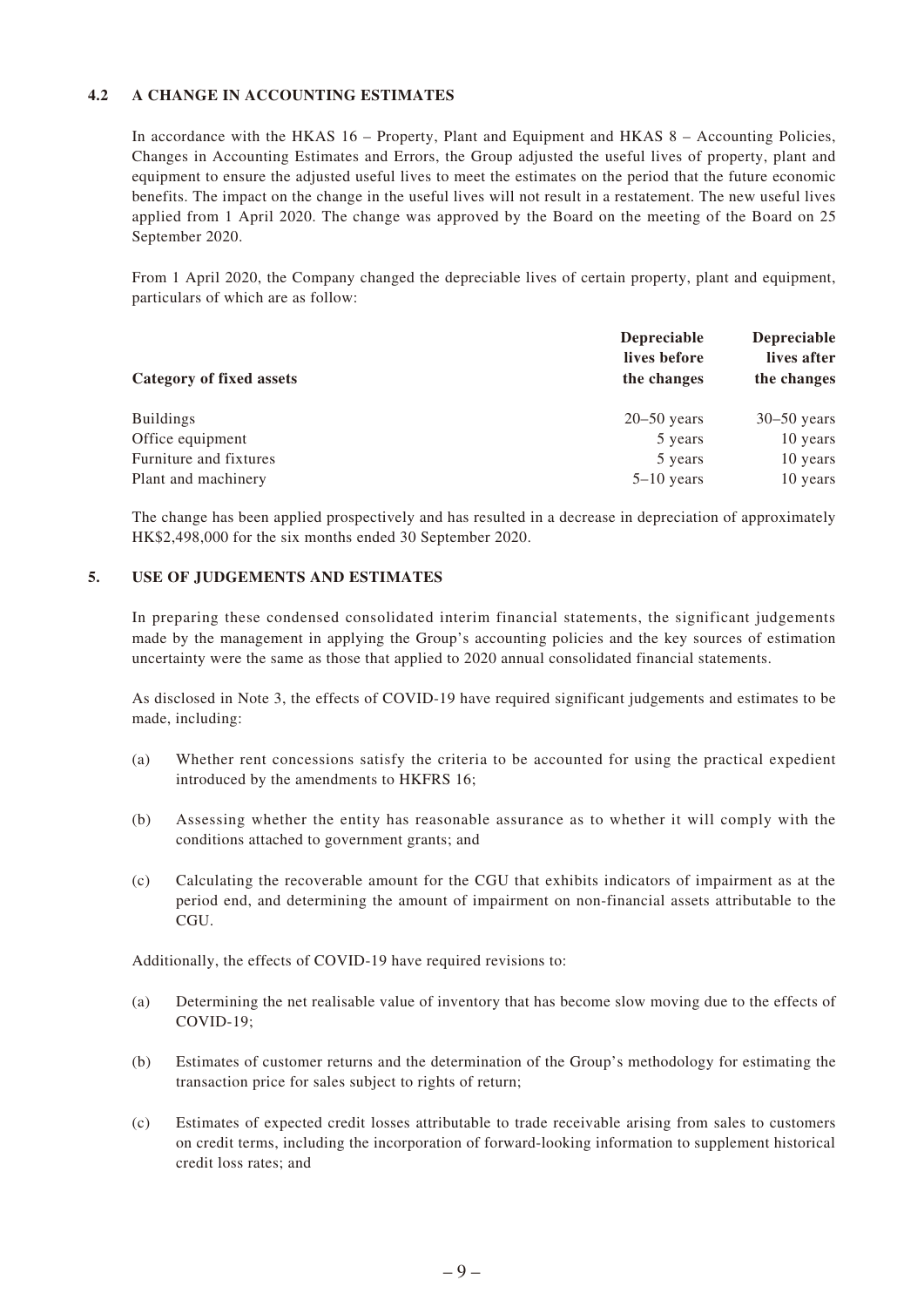### **4.2 A CHANGE IN ACCOUNTING ESTIMATES**

In accordance with the HKAS 16 – Property, Plant and Equipment and HKAS 8 – Accounting Policies, Changes in Accounting Estimates and Errors, the Group adjusted the useful lives of property, plant and equipment to ensure the adjusted useful lives to meet the estimates on the period that the future economic benefits. The impact on the change in the useful lives will not result in a restatement. The new useful lives applied from 1 April 2020. The change was approved by the Board on the meeting of the Board on 25 September 2020.

From 1 April 2020, the Company changed the depreciable lives of certain property, plant and equipment, particulars of which are as follow:

| Category of fixed assets | <b>Depreciable</b><br>lives before | <b>Depreciable</b><br>lives after |
|--------------------------|------------------------------------|-----------------------------------|
|                          | the changes                        | the changes                       |
| <b>Buildings</b>         | $20 - 50$ years                    | $30-50$ years                     |
| Office equipment         | 5 years                            | 10 years                          |
| Furniture and fixtures   | 5 years                            | 10 years                          |
| Plant and machinery      | $5-10$ years                       | 10 years                          |

The change has been applied prospectively and has resulted in a decrease in depreciation of approximately HK\$2,498,000 for the six months ended 30 September 2020.

#### **5. USE OF JUDGEMENTS AND ESTIMATES**

In preparing these condensed consolidated interim financial statements, the significant judgements made by the management in applying the Group's accounting policies and the key sources of estimation uncertainty were the same as those that applied to 2020 annual consolidated financial statements.

As disclosed in Note 3, the effects of COVID-19 have required significant judgements and estimates to be made, including:

- (a) Whether rent concessions satisfy the criteria to be accounted for using the practical expedient introduced by the amendments to HKFRS 16;
- (b) Assessing whether the entity has reasonable assurance as to whether it will comply with the conditions attached to government grants; and
- (c) Calculating the recoverable amount for the CGU that exhibits indicators of impairment as at the period end, and determining the amount of impairment on non-financial assets attributable to the CGU.

Additionally, the effects of COVID-19 have required revisions to:

- (a) Determining the net realisable value of inventory that has become slow moving due to the effects of COVID-19;
- (b) Estimates of customer returns and the determination of the Group's methodology for estimating the transaction price for sales subject to rights of return;
- (c) Estimates of expected credit losses attributable to trade receivable arising from sales to customers on credit terms, including the incorporation of forward-looking information to supplement historical credit loss rates; and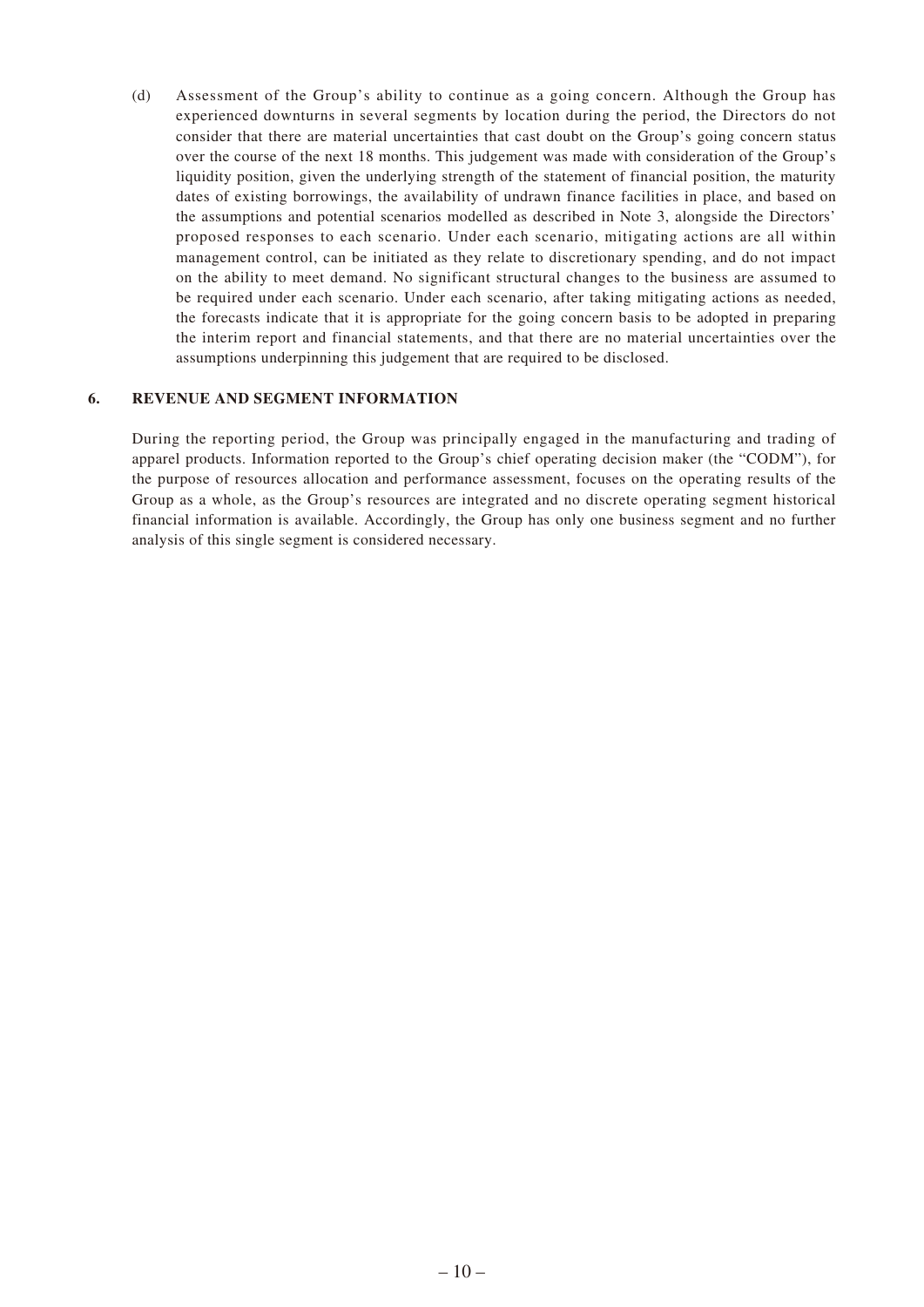(d) Assessment of the Group's ability to continue as a going concern. Although the Group has experienced downturns in several segments by location during the period, the Directors do not consider that there are material uncertainties that cast doubt on the Group's going concern status over the course of the next 18 months. This judgement was made with consideration of the Group's liquidity position, given the underlying strength of the statement of financial position, the maturity dates of existing borrowings, the availability of undrawn finance facilities in place, and based on the assumptions and potential scenarios modelled as described in Note 3, alongside the Directors' proposed responses to each scenario. Under each scenario, mitigating actions are all within management control, can be initiated as they relate to discretionary spending, and do not impact on the ability to meet demand. No significant structural changes to the business are assumed to be required under each scenario. Under each scenario, after taking mitigating actions as needed, the forecasts indicate that it is appropriate for the going concern basis to be adopted in preparing the interim report and financial statements, and that there are no material uncertainties over the assumptions underpinning this judgement that are required to be disclosed.

#### **6. REVENUE AND SEGMENT INFORMATION**

During the reporting period, the Group was principally engaged in the manufacturing and trading of apparel products. Information reported to the Group's chief operating decision maker (the "CODM"), for the purpose of resources allocation and performance assessment, focuses on the operating results of the Group as a whole, as the Group's resources are integrated and no discrete operating segment historical financial information is available. Accordingly, the Group has only one business segment and no further analysis of this single segment is considered necessary.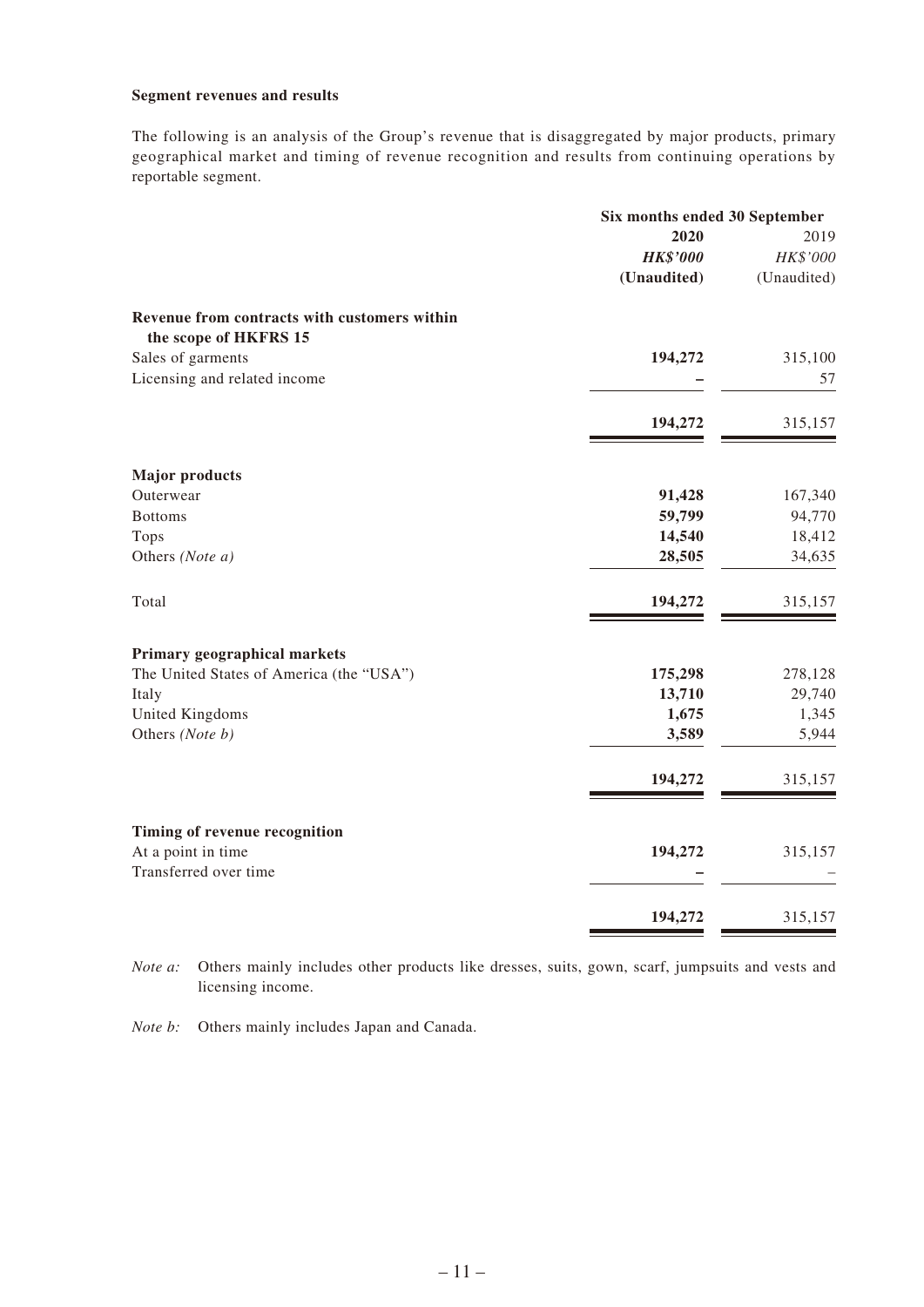### **Segment revenues and results**

The following is an analysis of the Group's revenue that is disaggregated by major products, primary geographical market and timing of revenue recognition and results from continuing operations by reportable segment.

|                                                                       | Six months ended 30 September |             |
|-----------------------------------------------------------------------|-------------------------------|-------------|
|                                                                       | 2020                          | 2019        |
|                                                                       | <b>HK\$'000</b>               | HK\$'000    |
|                                                                       | (Unaudited)                   | (Unaudited) |
| Revenue from contracts with customers within<br>the scope of HKFRS 15 |                               |             |
| Sales of garments                                                     | 194,272                       | 315,100     |
| Licensing and related income                                          |                               | 57          |
|                                                                       |                               |             |
|                                                                       | 194,272                       | 315,157     |
| <b>Major products</b>                                                 |                               |             |
| Outerwear                                                             | 91,428                        | 167,340     |
| <b>Bottoms</b>                                                        | 59,799                        | 94,770      |
| Tops                                                                  | 14,540                        | 18,412      |
| Others (Note a)                                                       | 28,505                        | 34,635      |
| Total                                                                 | 194,272                       | 315,157     |
| Primary geographical markets                                          |                               |             |
| The United States of America (the "USA")                              | 175,298                       | 278,128     |
| Italy                                                                 | 13,710                        | 29,740      |
| United Kingdoms                                                       | 1,675                         | 1,345       |
| Others (Note b)                                                       | 3,589                         | 5,944       |
|                                                                       | 194,272                       | 315,157     |
|                                                                       |                               |             |
| Timing of revenue recognition                                         |                               |             |
| At a point in time                                                    | 194,272                       | 315,157     |
| Transferred over time                                                 |                               |             |
|                                                                       | 194,272                       | 315,157     |

*Note a:* Others mainly includes other products like dresses, suits, gown, scarf, jumpsuits and vests and licensing income.

*Note b:* Others mainly includes Japan and Canada.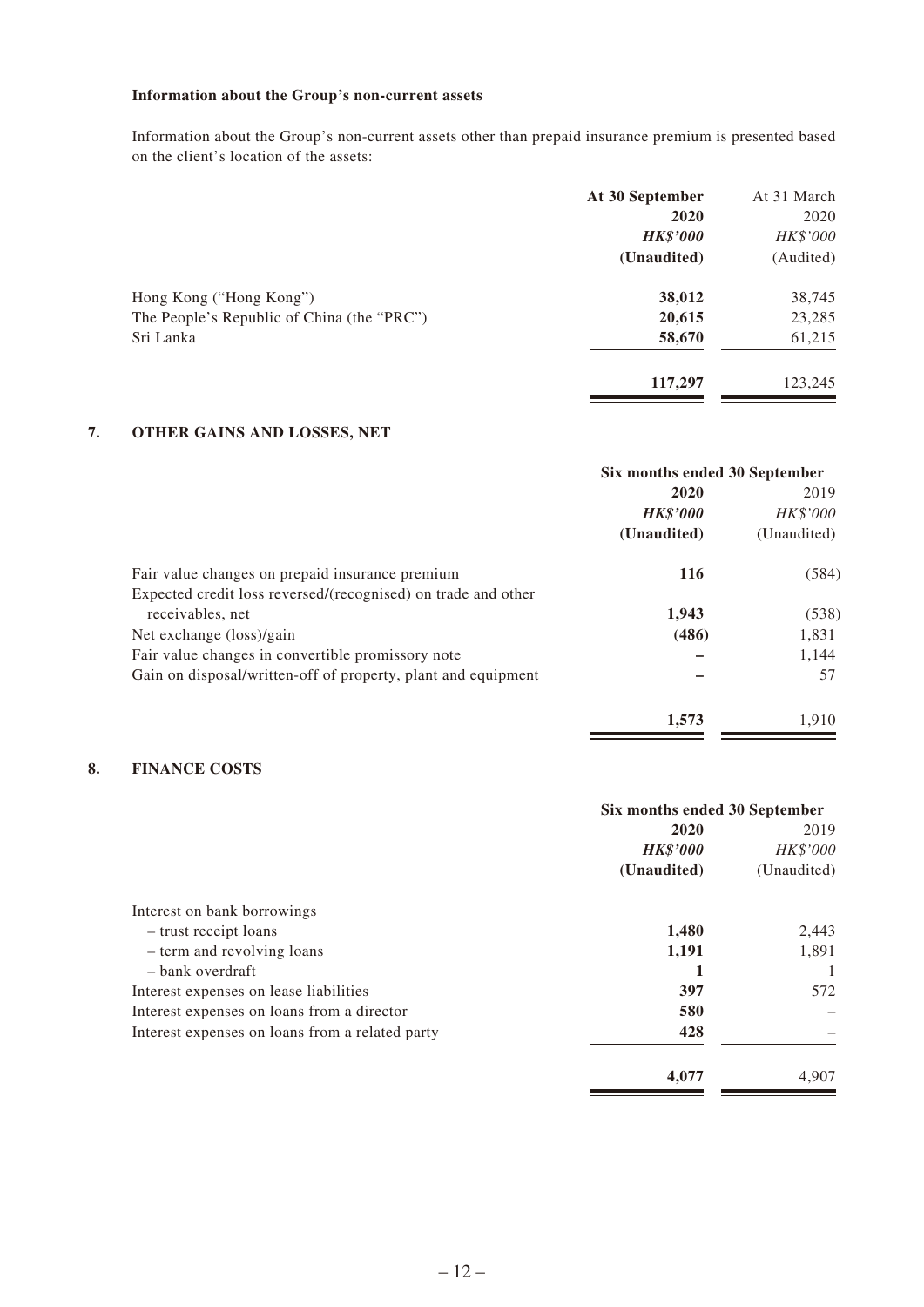### **Information about the Group's non-current assets**

Information about the Group's non-current assets other than prepaid insurance premium is presented based on the client's location of the assets:

|                                            | At 30 September | At 31 March |
|--------------------------------------------|-----------------|-------------|
|                                            | 2020            | 2020        |
|                                            | <b>HK\$'000</b> | HK\$'000    |
|                                            | (Unaudited)     | (Audited)   |
| Hong Kong ("Hong Kong")                    | 38,012          | 38,745      |
| The People's Republic of China (the "PRC") | 20,615          | 23,285      |
| Sri Lanka                                  | 58,670          | 61,215      |
|                                            | 117,297         | 123,245     |

### **7. OTHER GAINS AND LOSSES, NET**

|                                                               | Six months ended 30 September |                 |
|---------------------------------------------------------------|-------------------------------|-----------------|
|                                                               | 2020                          | 2019            |
|                                                               | <b>HK\$'000</b>               | <b>HK\$'000</b> |
|                                                               | (Unaudited)                   | (Unaudited)     |
| Fair value changes on prepaid insurance premium               | 116                           | (584)           |
| Expected credit loss reversed/(recognised) on trade and other |                               |                 |
| receivables, net                                              | 1,943                         | (538)           |
| Net exchange (loss)/gain                                      | (486)                         | 1,831           |
| Fair value changes in convertible promissory note             |                               | 1,144           |
| Gain on disposal/written-off of property, plant and equipment |                               | 57              |
|                                                               | 1,573                         | 1,910           |

### **8. FINANCE COSTS**

|                                                 | Six months ended 30 September |             |
|-------------------------------------------------|-------------------------------|-------------|
|                                                 | 2020                          | 2019        |
|                                                 | <b>HK\$'000</b>               | HK\$'000    |
|                                                 | (Unaudited)                   | (Unaudited) |
| Interest on bank borrowings                     |                               |             |
| - trust receipt loans                           | 1,480                         | 2,443       |
| - term and revolving loans                      | 1,191                         | 1,891       |
| – bank overdraft                                |                               |             |
| Interest expenses on lease liabilities          | 397                           | 572         |
| Interest expenses on loans from a director      | 580                           |             |
| Interest expenses on loans from a related party | 428                           |             |
|                                                 | 4,077                         | 4,907       |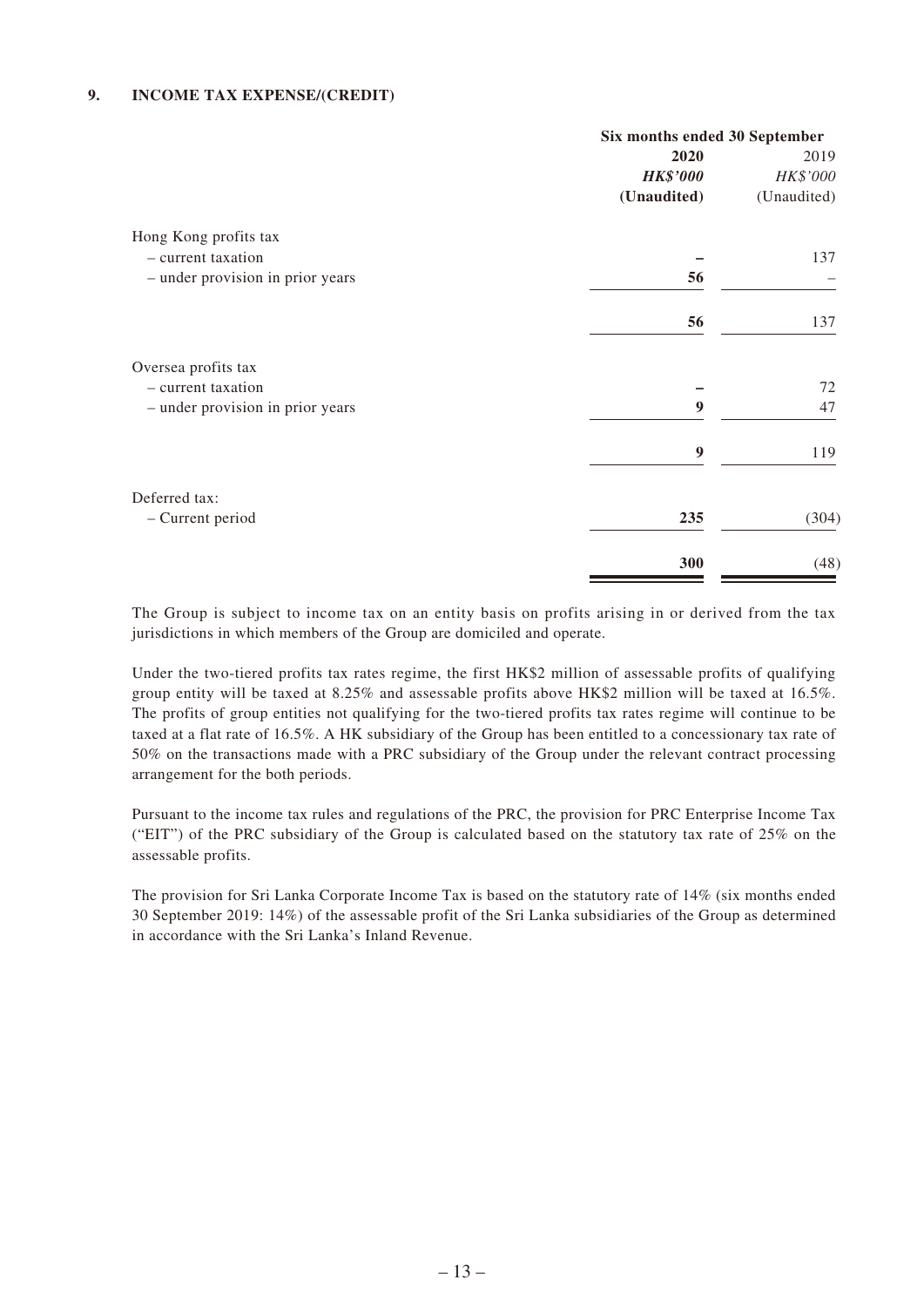#### **9. INCOME TAX EXPENSE/(CREDIT)**

|                                  | Six months ended 30 September |             |
|----------------------------------|-------------------------------|-------------|
|                                  | 2020                          | 2019        |
|                                  | <b>HK\$'000</b>               | HK\$'000    |
|                                  | (Unaudited)                   | (Unaudited) |
| Hong Kong profits tax            |                               |             |
| - current taxation               |                               | 137         |
| - under provision in prior years | 56                            |             |
|                                  | 56                            | 137         |
| Oversea profits tax              |                               |             |
| - current taxation               |                               | 72          |
| - under provision in prior years | 9                             | 47          |
|                                  | 9                             | 119         |
| Deferred tax:                    |                               |             |
| - Current period                 | 235                           | (304)       |
|                                  | 300                           | (48)        |

The Group is subject to income tax on an entity basis on profits arising in or derived from the tax jurisdictions in which members of the Group are domiciled and operate.

Under the two-tiered profits tax rates regime, the first HK\$2 million of assessable profits of qualifying group entity will be taxed at 8.25% and assessable profits above HK\$2 million will be taxed at 16.5%. The profits of group entities not qualifying for the two-tiered profits tax rates regime will continue to be taxed at a flat rate of 16.5%. A HK subsidiary of the Group has been entitled to a concessionary tax rate of 50% on the transactions made with a PRC subsidiary of the Group under the relevant contract processing arrangement for the both periods.

Pursuant to the income tax rules and regulations of the PRC, the provision for PRC Enterprise Income Tax ("EIT") of the PRC subsidiary of the Group is calculated based on the statutory tax rate of 25% on the assessable profits.

The provision for Sri Lanka Corporate Income Tax is based on the statutory rate of 14% (six months ended 30 September 2019: 14%) of the assessable profit of the Sri Lanka subsidiaries of the Group as determined in accordance with the Sri Lanka's Inland Revenue.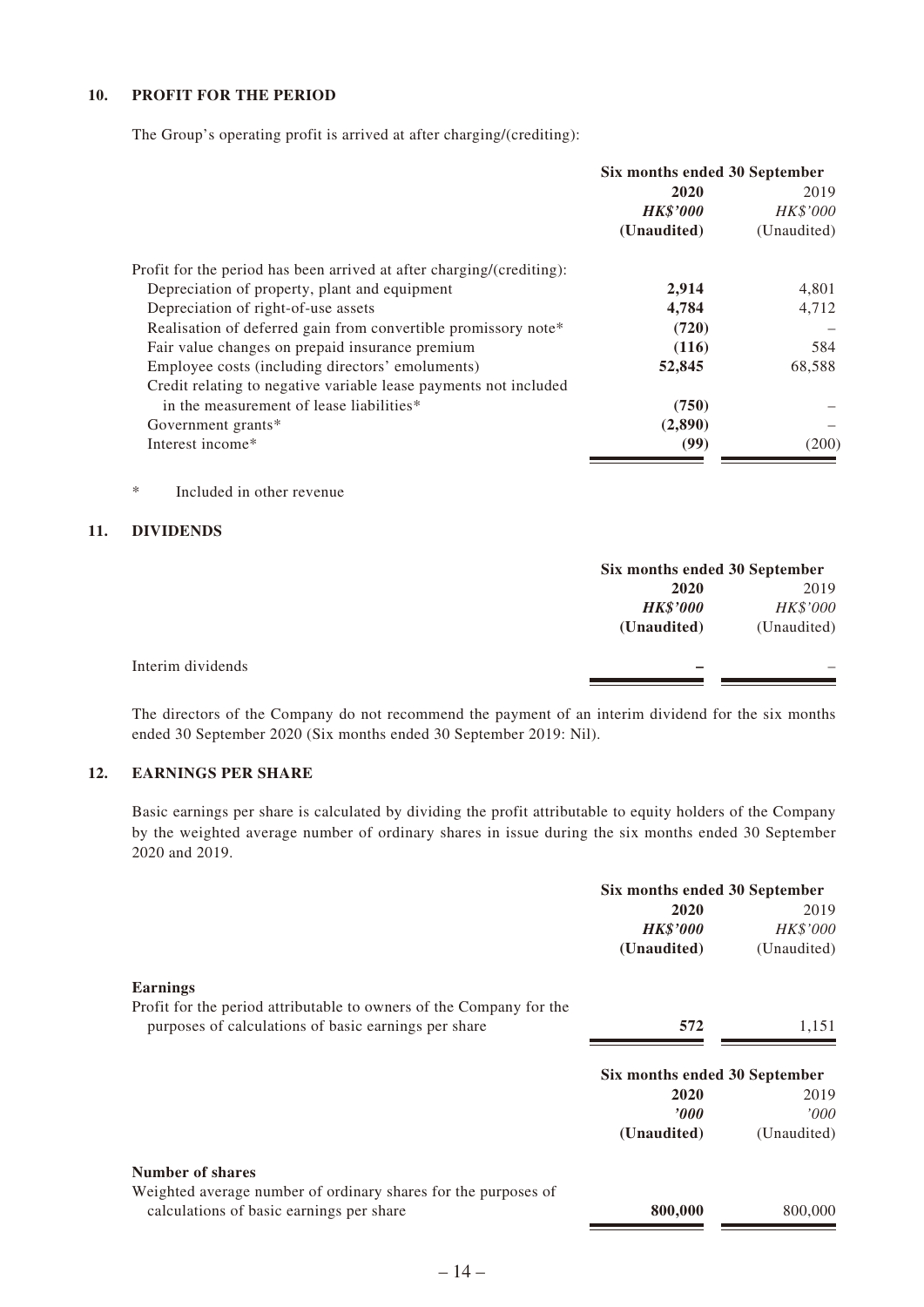### **10. PROFIT FOR THE PERIOD**

The Group's operating profit is arrived at after charging/(crediting):

|                                                                       | Six months ended 30 September |             |
|-----------------------------------------------------------------------|-------------------------------|-------------|
|                                                                       | 2020                          | 2019        |
|                                                                       | <b>HK\$'000</b>               | HK\$'000    |
|                                                                       | (Unaudited)                   | (Unaudited) |
| Profit for the period has been arrived at after charging/(crediting): |                               |             |
| Depreciation of property, plant and equipment                         | 2,914                         | 4,801       |
| Depreciation of right-of-use assets                                   | 4.784                         | 4,712       |
| Realisation of deferred gain from convertible promissory note*        | (720)                         |             |
| Fair value changes on prepaid insurance premium                       | (116)                         | 584         |
| Employee costs (including directors' emoluments)                      | 52,845                        | 68,588      |
| Credit relating to negative variable lease payments not included      |                               |             |
| in the measurement of lease liabilities*                              | (750)                         |             |
| Government grants*                                                    | (2,890)                       |             |
| Interest income*                                                      | (99)                          | (200)       |

\* Included in other revenue

#### **11. DIVIDENDS**

|                   |                 | Six months ended 30 September |  |
|-------------------|-----------------|-------------------------------|--|
|                   | 2020            | 2019                          |  |
|                   | <b>HK\$'000</b> | HK\$'000                      |  |
|                   | (Unaudited)     | (Unaudited)                   |  |
| Interim dividends |                 |                               |  |
|                   |                 |                               |  |

The directors of the Company do not recommend the payment of an interim dividend for the six months ended 30 September 2020 (Six months ended 30 September 2019: Nil).

### **12. EARNINGS PER SHARE**

Basic earnings per share is calculated by dividing the profit attributable to equity holders of the Company by the weighted average number of ordinary shares in issue during the six months ended 30 September 2020 and 2019.

|                                                                     | Six months ended 30 September |             |
|---------------------------------------------------------------------|-------------------------------|-------------|
|                                                                     | 2020                          | 2019        |
|                                                                     | <b>HK\$'000</b>               | HK\$'000    |
|                                                                     | (Unaudited)                   | (Unaudited) |
| <b>Earnings</b>                                                     |                               |             |
| Profit for the period attributable to owners of the Company for the |                               |             |
| purposes of calculations of basic earnings per share                | 572                           | 1,151       |
|                                                                     | Six months ended 30 September |             |
|                                                                     | 2020                          | 2019        |
|                                                                     | 2000                          | 000'        |
|                                                                     | (Unaudited)                   | (Unaudited) |
| <b>Number of shares</b>                                             |                               |             |
| Weighted average number of ordinary shares for the purposes of      |                               |             |
| calculations of basic earnings per share                            | 800,000                       | 800,000     |
|                                                                     |                               |             |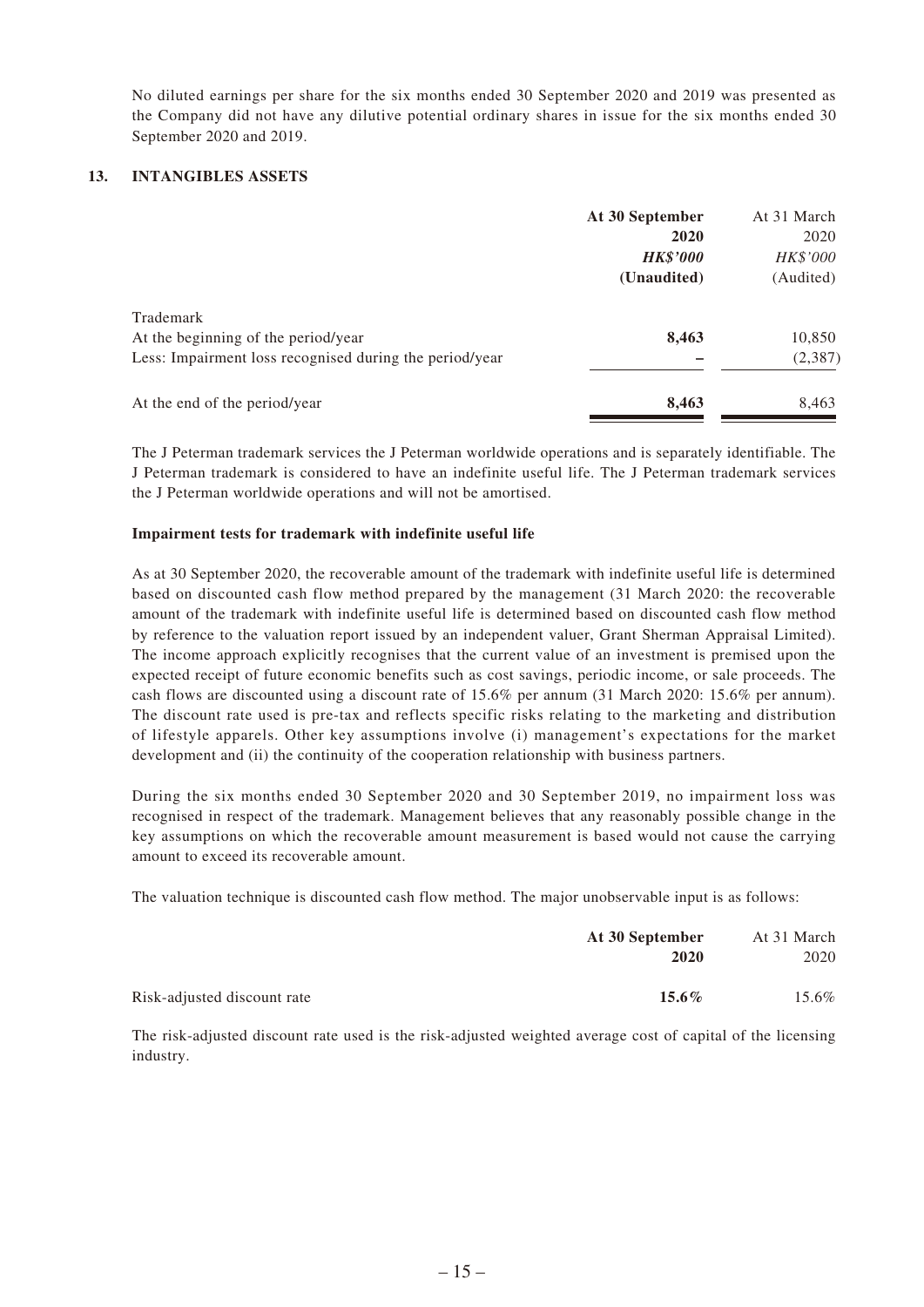No diluted earnings per share for the six months ended 30 September 2020 and 2019 was presented as the Company did not have any dilutive potential ordinary shares in issue for the six months ended 30 September 2020 and 2019.

### **13. INTANGIBLES ASSETS**

| At 30 September | At 31 March |
|-----------------|-------------|
| 2020            | 2020        |
| <b>HK\$'000</b> | HK\$'000    |
| (Unaudited)     | (Audited)   |
|                 |             |
| 8,463           | 10,850      |
|                 | (2, 387)    |
| 8,463           | 8,463       |
|                 |             |

The J Peterman trademark services the J Peterman worldwide operations and is separately identifiable. The J Peterman trademark is considered to have an indefinite useful life. The J Peterman trademark services the J Peterman worldwide operations and will not be amortised.

#### **Impairment tests for trademark with indefinite useful life**

As at 30 September 2020, the recoverable amount of the trademark with indefinite useful life is determined based on discounted cash flow method prepared by the management (31 March 2020: the recoverable amount of the trademark with indefinite useful life is determined based on discounted cash flow method by reference to the valuation report issued by an independent valuer, Grant Sherman Appraisal Limited). The income approach explicitly recognises that the current value of an investment is premised upon the expected receipt of future economic benefits such as cost savings, periodic income, or sale proceeds. The cash flows are discounted using a discount rate of 15.6% per annum (31 March 2020: 15.6% per annum). The discount rate used is pre-tax and reflects specific risks relating to the marketing and distribution of lifestyle apparels. Other key assumptions involve (i) management's expectations for the market development and (ii) the continuity of the cooperation relationship with business partners.

During the six months ended 30 September 2020 and 30 September 2019, no impairment loss was recognised in respect of the trademark. Management believes that any reasonably possible change in the key assumptions on which the recoverable amount measurement is based would not cause the carrying amount to exceed its recoverable amount.

The valuation technique is discounted cash flow method. The major unobservable input is as follows:

|                             | At 30 September | At 31 March |
|-----------------------------|-----------------|-------------|
|                             | 2020            | 2020        |
| Risk-adjusted discount rate | $15.6\%$        | 15.6%       |

The risk-adjusted discount rate used is the risk-adjusted weighted average cost of capital of the licensing industry.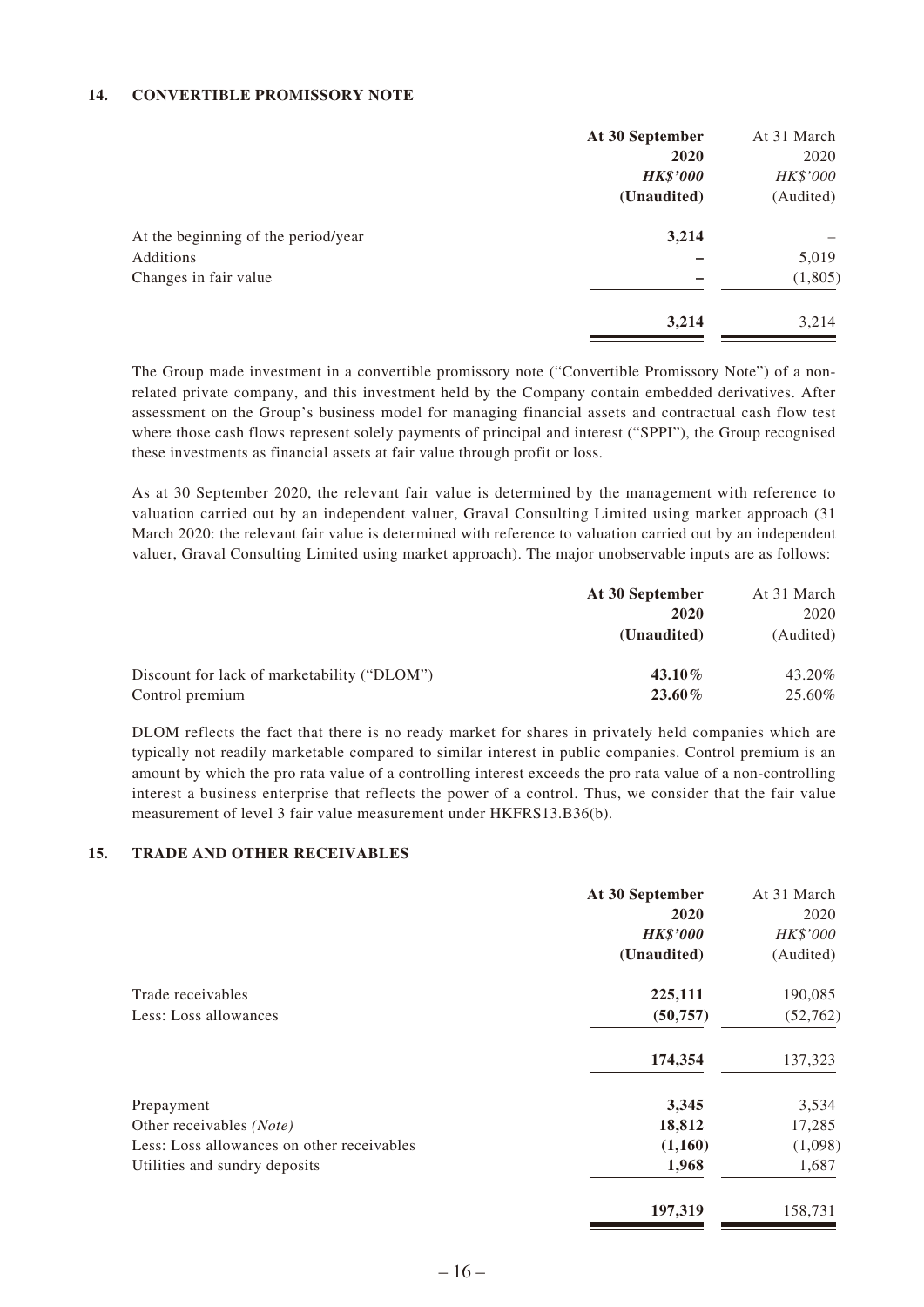#### **14. CONVERTIBLE PROMISSORY NOTE**

|                                     | At 30 September | At 31 March |
|-------------------------------------|-----------------|-------------|
|                                     | 2020            | 2020        |
|                                     | <b>HK\$'000</b> | HK\$'000    |
|                                     | (Unaudited)     | (Audited)   |
| At the beginning of the period/year | 3,214           |             |
| Additions                           |                 | 5,019       |
| Changes in fair value               |                 | (1,805)     |
|                                     | 3,214           | 3,214       |

The Group made investment in a convertible promissory note ("Convertible Promissory Note") of a nonrelated private company, and this investment held by the Company contain embedded derivatives. After assessment on the Group's business model for managing financial assets and contractual cash flow test where those cash flows represent solely payments of principal and interest ("SPPI"), the Group recognised these investments as financial assets at fair value through profit or loss.

As at 30 September 2020, the relevant fair value is determined by the management with reference to valuation carried out by an independent valuer, Graval Consulting Limited using market approach (31 March 2020: the relevant fair value is determined with reference to valuation carried out by an independent valuer, Graval Consulting Limited using market approach). The major unobservable inputs are as follows:

|                                             | At 30 September | At 31 March |
|---------------------------------------------|-----------------|-------------|
|                                             | 2020            | 2020        |
|                                             | (Unaudited)     | (Audited)   |
| Discount for lack of marketability ("DLOM") | $43.10\%$       | 43.20%      |
| Control premium                             | $23.60\%$       | 25.60%      |

DLOM reflects the fact that there is no ready market for shares in privately held companies which are typically not readily marketable compared to similar interest in public companies. Control premium is an amount by which the pro rata value of a controlling interest exceeds the pro rata value of a non-controlling interest a business enterprise that reflects the power of a control. Thus, we consider that the fair value measurement of level 3 fair value measurement under HKFRS13.B36(b).

#### **15. TRADE AND OTHER RECEIVABLES**

|                                            | At 30 September | At 31 March |
|--------------------------------------------|-----------------|-------------|
|                                            | 2020            | 2020        |
|                                            | <b>HK\$'000</b> | HK\$'000    |
|                                            | (Unaudited)     | (Audited)   |
| Trade receivables                          | 225,111         | 190,085     |
| Less: Loss allowances                      | (50, 757)       | (52, 762)   |
|                                            | 174,354         | 137,323     |
| Prepayment                                 | 3,345           | 3,534       |
| Other receivables (Note)                   | 18,812          | 17,285      |
| Less: Loss allowances on other receivables | (1,160)         | (1,098)     |
| Utilities and sundry deposits              | 1,968           | 1,687       |
|                                            | 197,319         | 158,731     |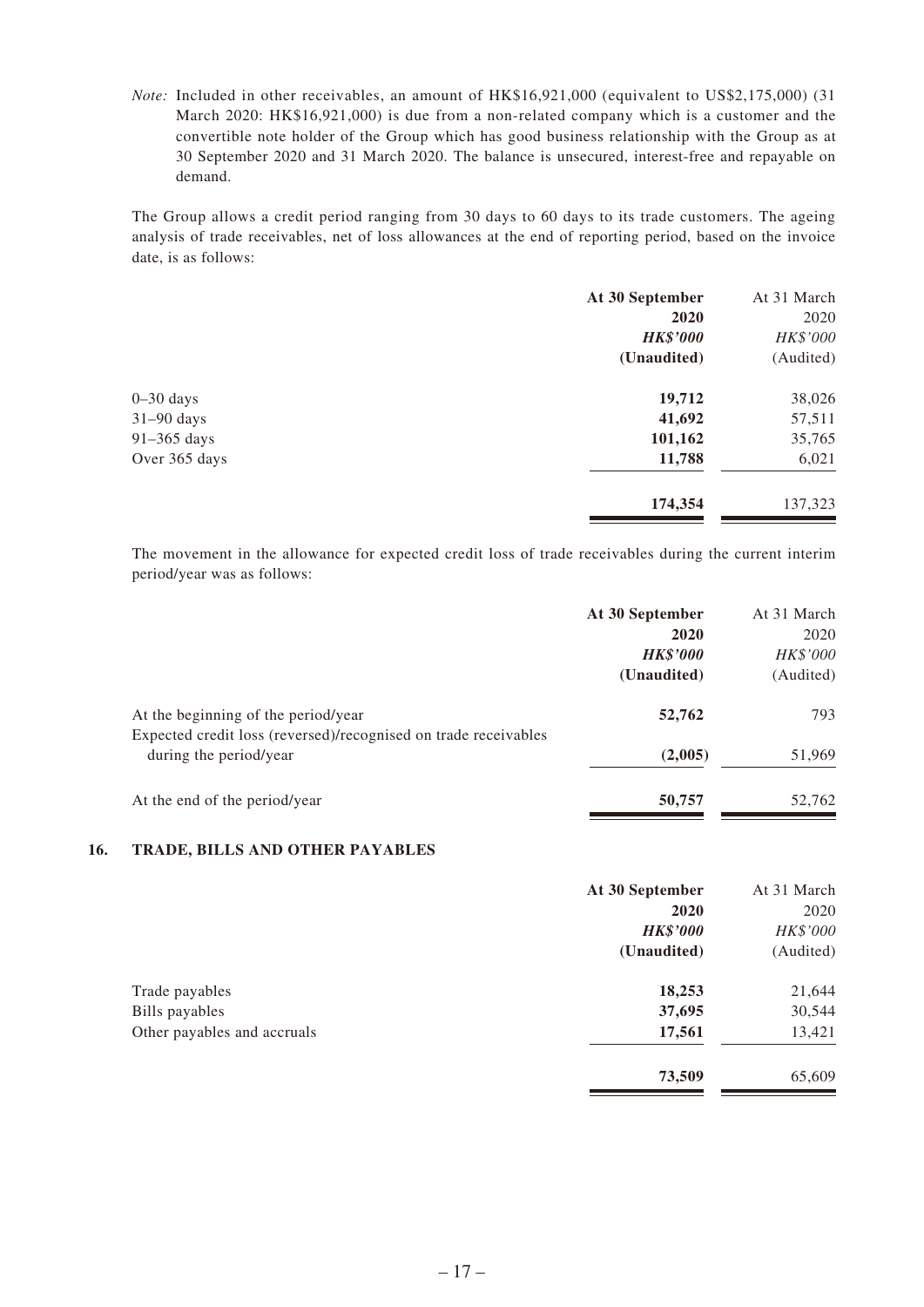*Note:* Included in other receivables, an amount of HK\$16,921,000 (equivalent to US\$2,175,000) (31 March 2020: HK\$16,921,000) is due from a non-related company which is a customer and the convertible note holder of the Group which has good business relationship with the Group as at 30 September 2020 and 31 March 2020. The balance is unsecured, interest-free and repayable on demand.

The Group allows a credit period ranging from 30 days to 60 days to its trade customers. The ageing analysis of trade receivables, net of loss allowances at the end of reporting period, based on the invoice date, is as follows:

|               | At 30 September | At 31 March |
|---------------|-----------------|-------------|
|               | 2020            | 2020        |
|               | <b>HK\$'000</b> | HK\$'000    |
|               | (Unaudited)     | (Audited)   |
| $0 - 30$ days | 19,712          | 38,026      |
| $31-90$ days  | 41,692          | 57,511      |
| 91-365 days   | 101,162         | 35,765      |
| Over 365 days | 11,788          | 6,021       |
|               | 174,354         | 137,323     |

The movement in the allowance for expected credit loss of trade receivables during the current interim period/year was as follows:

|                                                                 | At 30 September | At 31 March     |
|-----------------------------------------------------------------|-----------------|-----------------|
|                                                                 | 2020            | 2020            |
|                                                                 | <b>HK\$'000</b> | <i>HK\$'000</i> |
|                                                                 | (Unaudited)     | (Audited)       |
| At the beginning of the period/year                             | 52,762          | 793             |
| Expected credit loss (reversed)/recognised on trade receivables |                 |                 |
| during the period/year                                          | (2,005)         | 51,969          |
| At the end of the period/year                                   | 50,757          | 52,762          |

### **16. TRADE, BILLS AND OTHER PAYABLES**

| At 30 September | At 31 March |
|-----------------|-------------|
| 2020            | 2020        |
| <b>HK\$'000</b> | HK\$'000    |
| (Unaudited)     | (Audited)   |
| 18,253          | 21,644      |
| 37,695          | 30,544      |
| 17,561          | 13,421      |
| 73,509          | 65,609      |
|                 |             |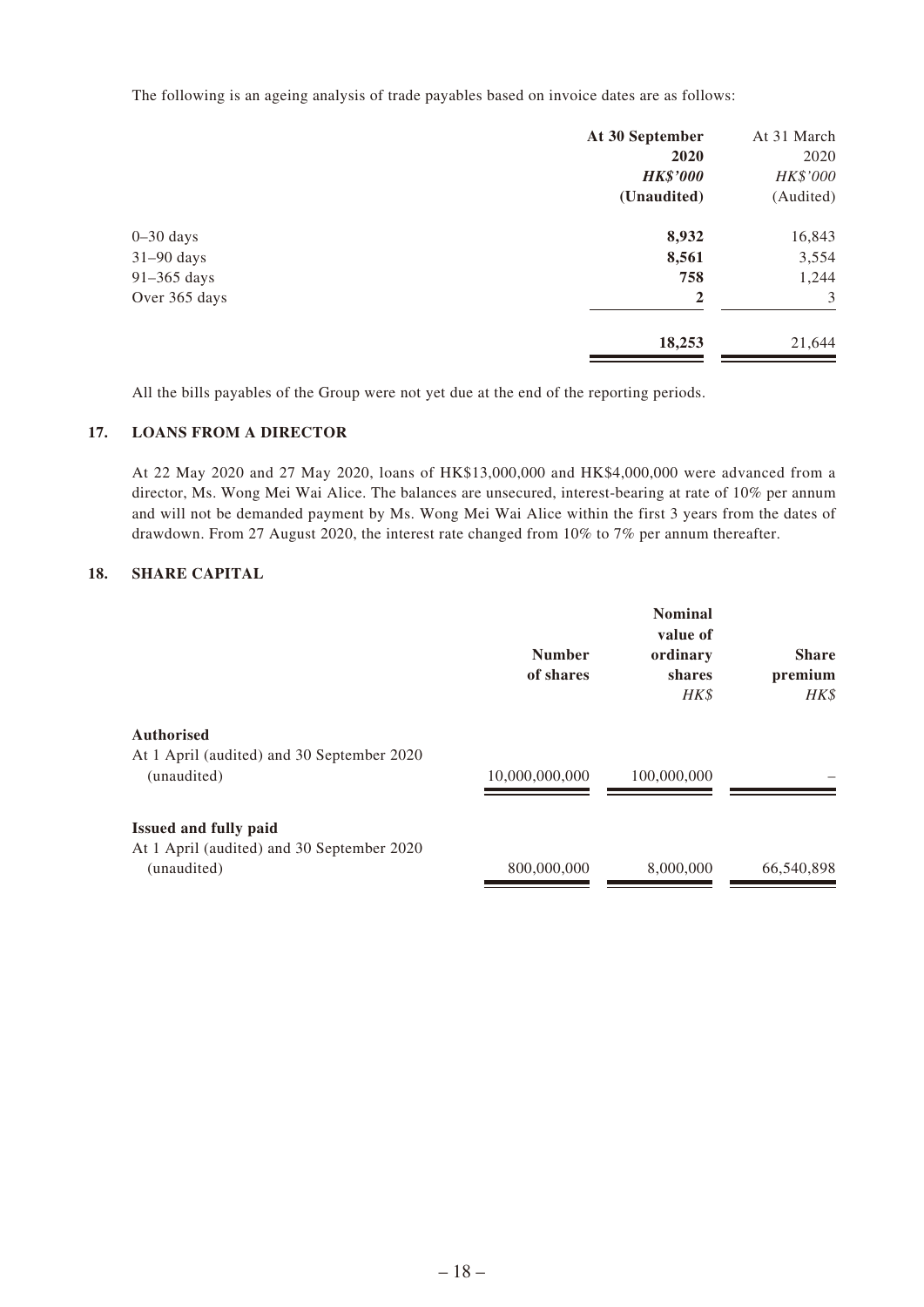The following is an ageing analysis of trade payables based on invoice dates are as follows:

|               | At 30 September | At 31 March |
|---------------|-----------------|-------------|
|               | 2020            | 2020        |
|               | <b>HK\$'000</b> | HK\$'000    |
|               | (Unaudited)     | (Audited)   |
| $0 - 30$ days | 8,932           | 16,843      |
| $31-90$ days  | 8,561           | 3,554       |
| 91-365 days   | 758             | 1,244       |
| Over 365 days | $\overline{2}$  | 3           |
|               | 18,253          | 21,644      |

All the bills payables of the Group were not yet due at the end of the reporting periods.

#### **17. LOANS FROM A DIRECTOR**

At 22 May 2020 and 27 May 2020, loans of HK\$13,000,000 and HK\$4,000,000 were advanced from a director, Ms. Wong Mei Wai Alice. The balances are unsecured, interest-bearing at rate of 10% per annum and will not be demanded payment by Ms. Wong Mei Wai Alice within the first 3 years from the dates of drawdown. From 27 August 2020, the interest rate changed from 10% to 7% per annum thereafter.

### **18. SHARE CAPITAL**

|                                                                                           | <b>Number</b><br>of shares | <b>Nominal</b><br>value of<br>ordinary<br>shares<br>HK\$ | <b>Share</b><br>premium<br>HK\$ |
|-------------------------------------------------------------------------------------------|----------------------------|----------------------------------------------------------|---------------------------------|
| <b>Authorised</b><br>At 1 April (audited) and 30 September 2020<br>(unaudited)            | 10,000,000,000             | 100,000,000                                              |                                 |
| <b>Issued and fully paid</b><br>At 1 April (audited) and 30 September 2020<br>(unaudited) | 800,000,000                | 8,000,000                                                | 66,540,898                      |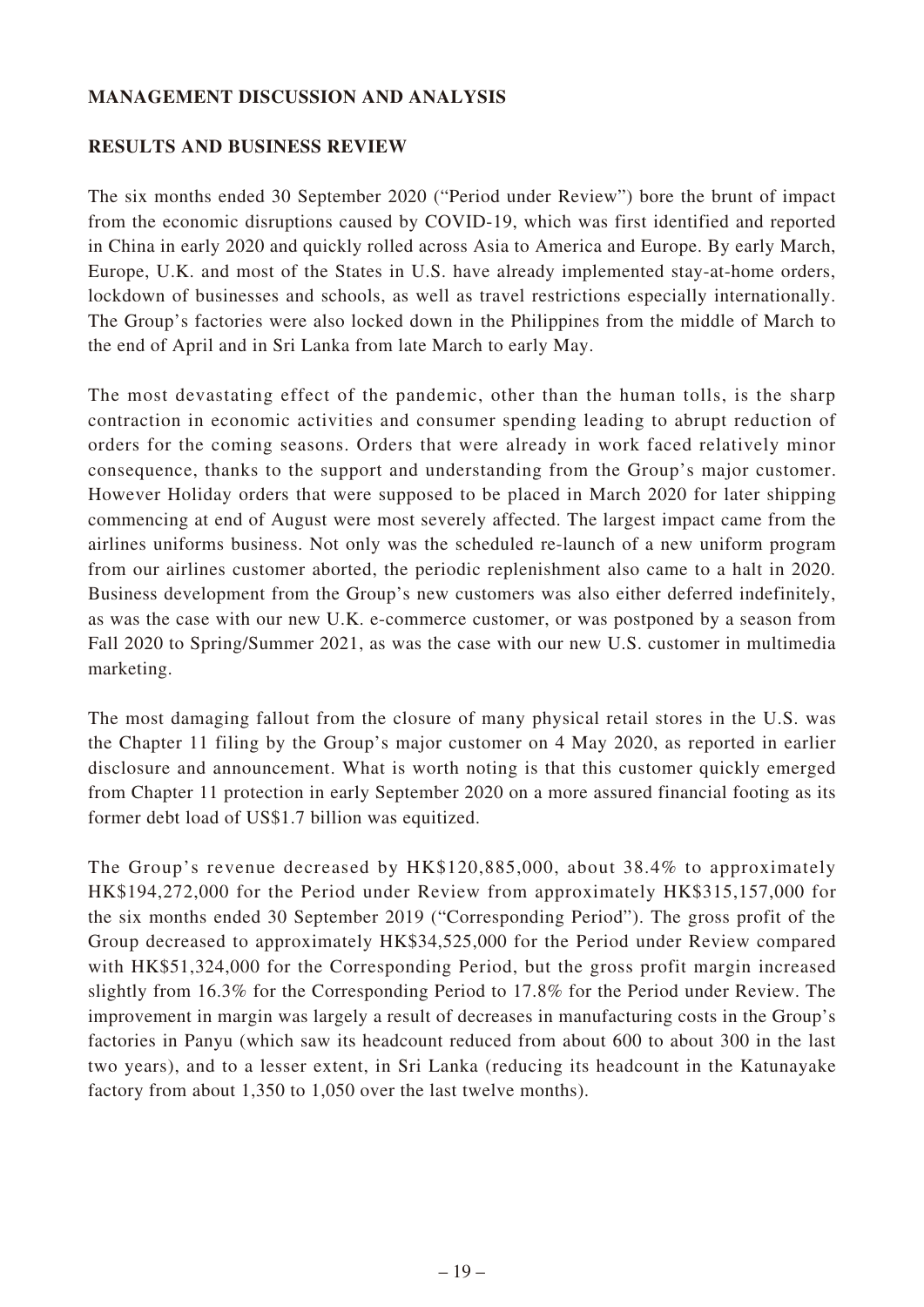### **MANAGEMENT DISCUSSION AND ANALYSIS**

### **RESULTS AND BUSINESS REVIEW**

The six months ended 30 September 2020 ("Period under Review") bore the brunt of impact from the economic disruptions caused by COVID-19, which was first identified and reported in China in early 2020 and quickly rolled across Asia to America and Europe. By early March, Europe, U.K. and most of the States in U.S. have already implemented stay-at-home orders, lockdown of businesses and schools, as well as travel restrictions especially internationally. The Group's factories were also locked down in the Philippines from the middle of March to the end of April and in Sri Lanka from late March to early May.

The most devastating effect of the pandemic, other than the human tolls, is the sharp contraction in economic activities and consumer spending leading to abrupt reduction of orders for the coming seasons. Orders that were already in work faced relatively minor consequence, thanks to the support and understanding from the Group's major customer. However Holiday orders that were supposed to be placed in March 2020 for later shipping commencing at end of August were most severely affected. The largest impact came from the airlines uniforms business. Not only was the scheduled re-launch of a new uniform program from our airlines customer aborted, the periodic replenishment also came to a halt in 2020. Business development from the Group's new customers was also either deferred indefinitely, as was the case with our new U.K. e-commerce customer, or was postponed by a season from Fall 2020 to Spring/Summer 2021, as was the case with our new U.S. customer in multimedia marketing.

The most damaging fallout from the closure of many physical retail stores in the U.S. was the Chapter 11 filing by the Group's major customer on 4 May 2020, as reported in earlier disclosure and announcement. What is worth noting is that this customer quickly emerged from Chapter 11 protection in early September 2020 on a more assured financial footing as its former debt load of US\$1.7 billion was equitized.

The Group's revenue decreased by HK\$120,885,000, about 38.4% to approximately HK\$194,272,000 for the Period under Review from approximately HK\$315,157,000 for the six months ended 30 September 2019 ("Corresponding Period"). The gross profit of the Group decreased to approximately HK\$34,525,000 for the Period under Review compared with HK\$51,324,000 for the Corresponding Period, but the gross profit margin increased slightly from 16.3% for the Corresponding Period to 17.8% for the Period under Review. The improvement in margin was largely a result of decreases in manufacturing costs in the Group's factories in Panyu (which saw its headcount reduced from about 600 to about 300 in the last two years), and to a lesser extent, in Sri Lanka (reducing its headcount in the Katunayake factory from about 1,350 to 1,050 over the last twelve months).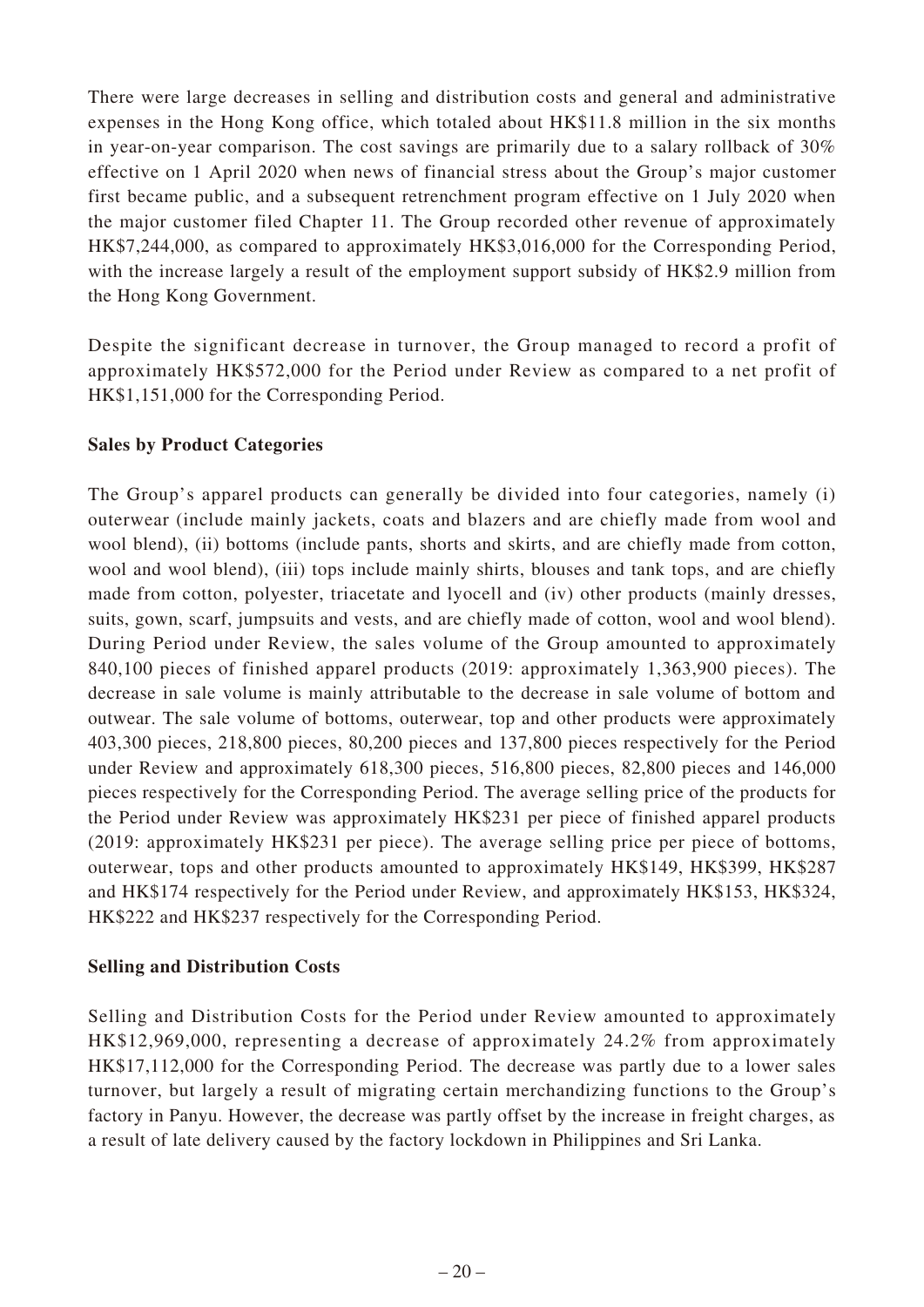There were large decreases in selling and distribution costs and general and administrative expenses in the Hong Kong office, which totaled about HK\$11.8 million in the six months in year-on-year comparison. The cost savings are primarily due to a salary rollback of 30% effective on 1 April 2020 when news of financial stress about the Group's major customer first became public, and a subsequent retrenchment program effective on 1 July 2020 when the major customer filed Chapter 11. The Group recorded other revenue of approximately HK\$7,244,000, as compared to approximately HK\$3,016,000 for the Corresponding Period, with the increase largely a result of the employment support subsidy of HK\$2.9 million from the Hong Kong Government.

Despite the significant decrease in turnover, the Group managed to record a profit of approximately HK\$572,000 for the Period under Review as compared to a net profit of HK\$1,151,000 for the Corresponding Period.

# **Sales by Product Categories**

The Group's apparel products can generally be divided into four categories, namely (i) outerwear (include mainly jackets, coats and blazers and are chiefly made from wool and wool blend), (ii) bottoms (include pants, shorts and skirts, and are chiefly made from cotton, wool and wool blend), (iii) tops include mainly shirts, blouses and tank tops, and are chiefly made from cotton, polyester, triacetate and lyocell and (iv) other products (mainly dresses, suits, gown, scarf, jumpsuits and vests, and are chiefly made of cotton, wool and wool blend). During Period under Review, the sales volume of the Group amounted to approximately 840,100 pieces of finished apparel products (2019: approximately 1,363,900 pieces). The decrease in sale volume is mainly attributable to the decrease in sale volume of bottom and outwear. The sale volume of bottoms, outerwear, top and other products were approximately 403,300 pieces, 218,800 pieces, 80,200 pieces and 137,800 pieces respectively for the Period under Review and approximately 618,300 pieces, 516,800 pieces, 82,800 pieces and 146,000 pieces respectively for the Corresponding Period. The average selling price of the products for the Period under Review was approximately HK\$231 per piece of finished apparel products (2019: approximately HK\$231 per piece). The average selling price per piece of bottoms, outerwear, tops and other products amounted to approximately HK\$149, HK\$399, HK\$287 and HK\$174 respectively for the Period under Review, and approximately HK\$153, HK\$324, HK\$222 and HK\$237 respectively for the Corresponding Period.

### **Selling and Distribution Costs**

Selling and Distribution Costs for the Period under Review amounted to approximately HK\$12,969,000, representing a decrease of approximately 24.2% from approximately HK\$17,112,000 for the Corresponding Period. The decrease was partly due to a lower sales turnover, but largely a result of migrating certain merchandizing functions to the Group's factory in Panyu. However, the decrease was partly offset by the increase in freight charges, as a result of late delivery caused by the factory lockdown in Philippines and Sri Lanka.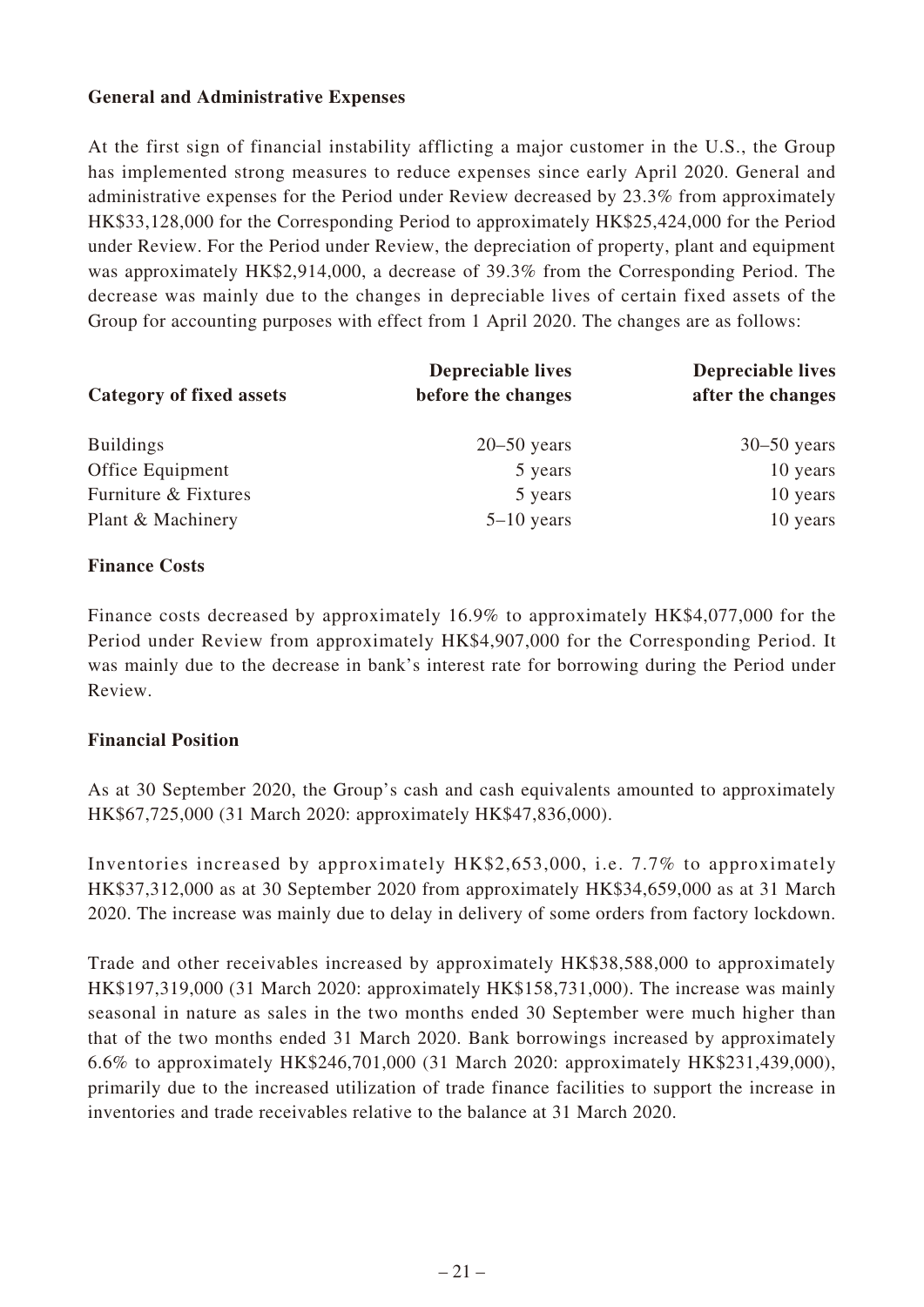### **General and Administrative Expenses**

At the first sign of financial instability afflicting a major customer in the U.S., the Group has implemented strong measures to reduce expenses since early April 2020. General and administrative expenses for the Period under Review decreased by 23.3% from approximately HK\$33,128,000 for the Corresponding Period to approximately HK\$25,424,000 for the Period under Review. For the Period under Review, the depreciation of property, plant and equipment was approximately HK\$2,914,000, a decrease of 39.3% from the Corresponding Period. The decrease was mainly due to the changes in depreciable lives of certain fixed assets of the Group for accounting purposes with effect from 1 April 2020. The changes are as follows:

| <b>Category of fixed assets</b> | <b>Depreciable lives</b><br>before the changes | <b>Depreciable lives</b><br>after the changes |  |
|---------------------------------|------------------------------------------------|-----------------------------------------------|--|
| <b>Buildings</b>                | $20 - 50$ years                                | $30 - 50$ years                               |  |
| Office Equipment                | 5 years                                        | 10 years                                      |  |
| Furniture & Fixtures            | 5 years                                        | 10 years                                      |  |
| Plant & Machinery               | $5-10$ years                                   | 10 years                                      |  |

### **Finance Costs**

Finance costs decreased by approximately 16.9% to approximately HK\$4,077,000 for the Period under Review from approximately HK\$4,907,000 for the Corresponding Period. It was mainly due to the decrease in bank's interest rate for borrowing during the Period under Review.

### **Financial Position**

As at 30 September 2020, the Group's cash and cash equivalents amounted to approximately HK\$67,725,000 (31 March 2020: approximately HK\$47,836,000).

Inventories increased by approximately HK\$2,653,000, i.e. 7.7% to approximately HK\$37,312,000 as at 30 September 2020 from approximately HK\$34,659,000 as at 31 March 2020. The increase was mainly due to delay in delivery of some orders from factory lockdown.

Trade and other receivables increased by approximately HK\$38,588,000 to approximately HK\$197,319,000 (31 March 2020: approximately HK\$158,731,000). The increase was mainly seasonal in nature as sales in the two months ended 30 September were much higher than that of the two months ended 31 March 2020. Bank borrowings increased by approximately 6.6% to approximately HK\$246,701,000 (31 March 2020: approximately HK\$231,439,000), primarily due to the increased utilization of trade finance facilities to support the increase in inventories and trade receivables relative to the balance at 31 March 2020.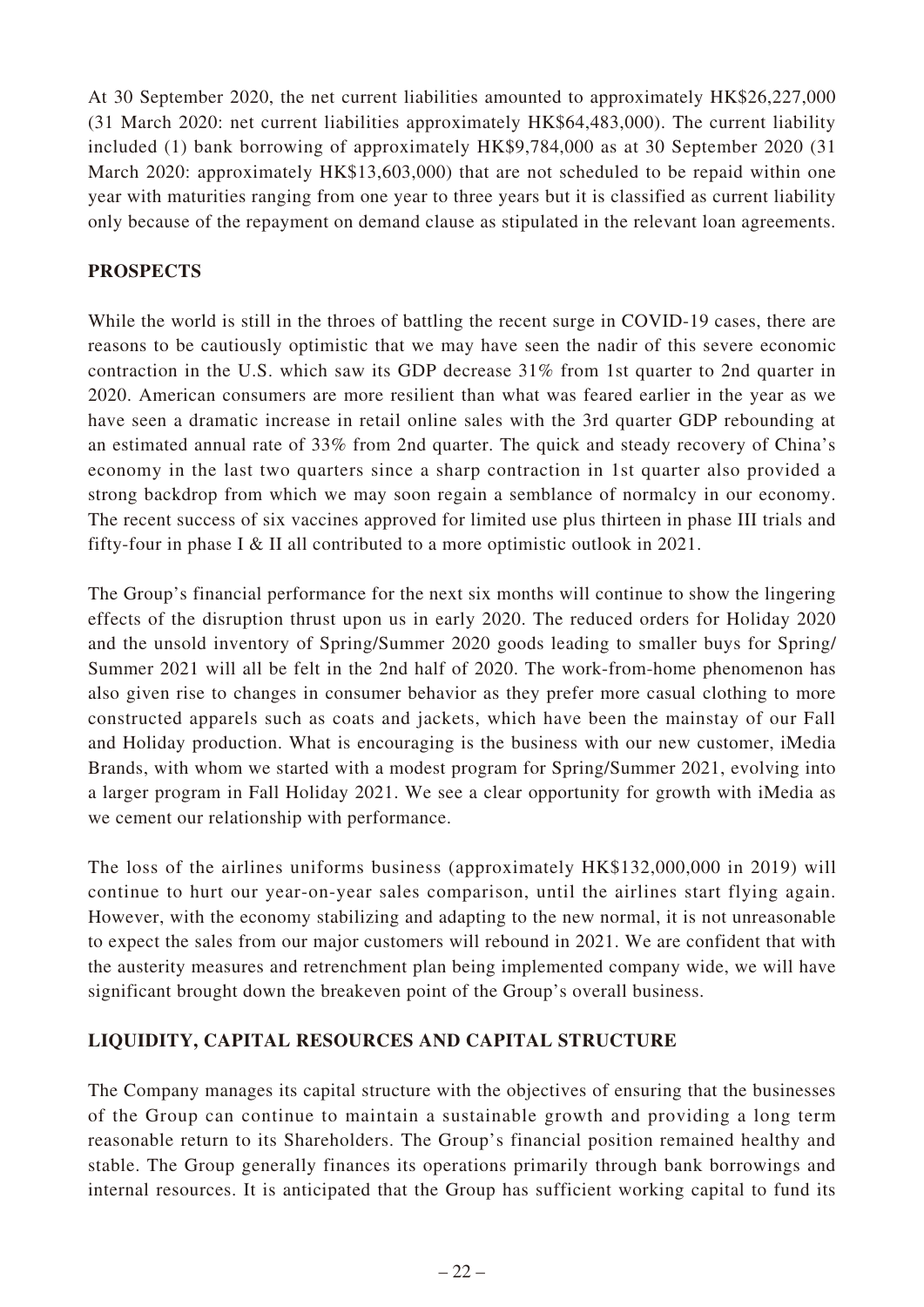At 30 September 2020, the net current liabilities amounted to approximately HK\$26,227,000 (31 March 2020: net current liabilities approximately HK\$64,483,000). The current liability included (1) bank borrowing of approximately HK\$9,784,000 as at 30 September 2020 (31 March 2020: approximately HK\$13,603,000) that are not scheduled to be repaid within one year with maturities ranging from one year to three years but it is classified as current liability only because of the repayment on demand clause as stipulated in the relevant loan agreements.

# **PROSPECTS**

While the world is still in the throes of battling the recent surge in COVID-19 cases, there are reasons to be cautiously optimistic that we may have seen the nadir of this severe economic contraction in the U.S. which saw its GDP decrease 31% from 1st quarter to 2nd quarter in 2020. American consumers are more resilient than what was feared earlier in the year as we have seen a dramatic increase in retail online sales with the 3rd quarter GDP rebounding at an estimated annual rate of 33% from 2nd quarter. The quick and steady recovery of China's economy in the last two quarters since a sharp contraction in 1st quarter also provided a strong backdrop from which we may soon regain a semblance of normalcy in our economy. The recent success of six vaccines approved for limited use plus thirteen in phase III trials and fifty-four in phase I & II all contributed to a more optimistic outlook in 2021.

The Group's financial performance for the next six months will continue to show the lingering effects of the disruption thrust upon us in early 2020. The reduced orders for Holiday 2020 and the unsold inventory of Spring/Summer 2020 goods leading to smaller buys for Spring/ Summer 2021 will all be felt in the 2nd half of 2020. The work-from-home phenomenon has also given rise to changes in consumer behavior as they prefer more casual clothing to more constructed apparels such as coats and jackets, which have been the mainstay of our Fall and Holiday production. What is encouraging is the business with our new customer, iMedia Brands, with whom we started with a modest program for Spring/Summer 2021, evolving into a larger program in Fall Holiday 2021. We see a clear opportunity for growth with iMedia as we cement our relationship with performance.

The loss of the airlines uniforms business (approximately HK\$132,000,000 in 2019) will continue to hurt our year-on-year sales comparison, until the airlines start flying again. However, with the economy stabilizing and adapting to the new normal, it is not unreasonable to expect the sales from our major customers will rebound in 2021. We are confident that with the austerity measures and retrenchment plan being implemented company wide, we will have significant brought down the breakeven point of the Group's overall business.

# **LIQUIDITY, CAPITAL RESOURCES AND CAPITAL STRUCTURE**

The Company manages its capital structure with the objectives of ensuring that the businesses of the Group can continue to maintain a sustainable growth and providing a long term reasonable return to its Shareholders. The Group's financial position remained healthy and stable. The Group generally finances its operations primarily through bank borrowings and internal resources. It is anticipated that the Group has sufficient working capital to fund its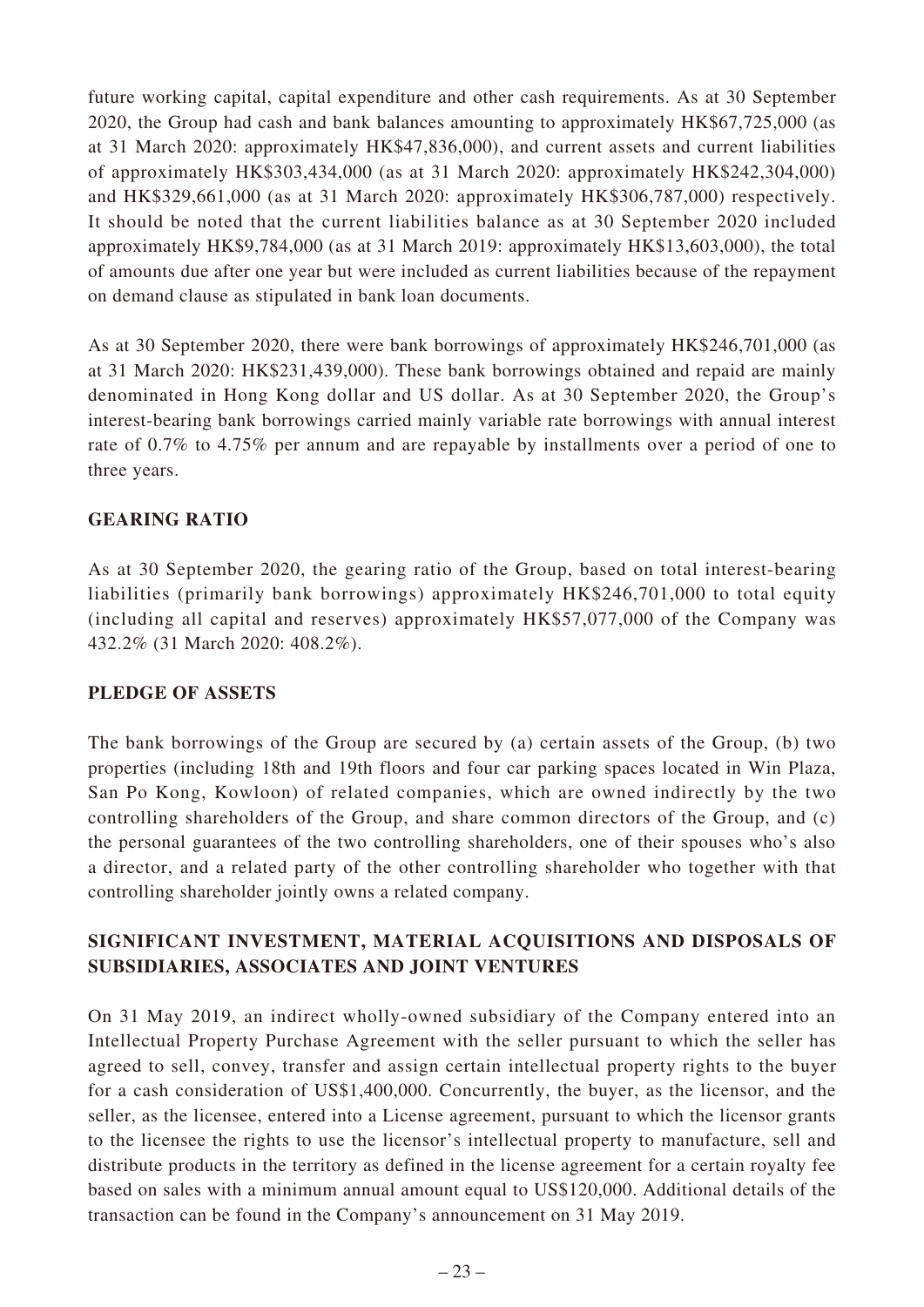future working capital, capital expenditure and other cash requirements. As at 30 September 2020, the Group had cash and bank balances amounting to approximately HK\$67,725,000 (as at 31 March 2020: approximately HK\$47,836,000), and current assets and current liabilities of approximately HK\$303,434,000 (as at 31 March 2020: approximately HK\$242,304,000) and HK\$329,661,000 (as at 31 March 2020: approximately HK\$306,787,000) respectively. It should be noted that the current liabilities balance as at 30 September 2020 included approximately HK\$9,784,000 (as at 31 March 2019: approximately HK\$13,603,000), the total of amounts due after one year but were included as current liabilities because of the repayment on demand clause as stipulated in bank loan documents.

As at 30 September 2020, there were bank borrowings of approximately HK\$246,701,000 (as at 31 March 2020: HK\$231,439,000). These bank borrowings obtained and repaid are mainly denominated in Hong Kong dollar and US dollar. As at 30 September 2020, the Group's interest-bearing bank borrowings carried mainly variable rate borrowings with annual interest rate of 0.7% to 4.75% per annum and are repayable by installments over a period of one to three years.

# **GEARING RATIO**

As at 30 September 2020, the gearing ratio of the Group, based on total interest-bearing liabilities (primarily bank borrowings) approximately HK\$246,701,000 to total equity (including all capital and reserves) approximately HK\$57,077,000 of the Company was 432.2% (31 March 2020: 408.2%).

### **PLEDGE OF ASSETS**

The bank borrowings of the Group are secured by (a) certain assets of the Group, (b) two properties (including 18th and 19th floors and four car parking spaces located in Win Plaza, San Po Kong, Kowloon) of related companies, which are owned indirectly by the two controlling shareholders of the Group, and share common directors of the Group, and (c) the personal guarantees of the two controlling shareholders, one of their spouses who's also a director, and a related party of the other controlling shareholder who together with that controlling shareholder jointly owns a related company.

# **SIGNIFICANT INVESTMENT, MATERIAL ACQUISITIONS AND DISPOSALS OF SUBSIDIARIES, ASSOCIATES AND JOINT VENTURES**

On 31 May 2019, an indirect wholly-owned subsidiary of the Company entered into an Intellectual Property Purchase Agreement with the seller pursuant to which the seller has agreed to sell, convey, transfer and assign certain intellectual property rights to the buyer for a cash consideration of US\$1,400,000. Concurrently, the buyer, as the licensor, and the seller, as the licensee, entered into a License agreement, pursuant to which the licensor grants to the licensee the rights to use the licensor's intellectual property to manufacture, sell and distribute products in the territory as defined in the license agreement for a certain royalty fee based on sales with a minimum annual amount equal to US\$120,000. Additional details of the transaction can be found in the Company's announcement on 31 May 2019.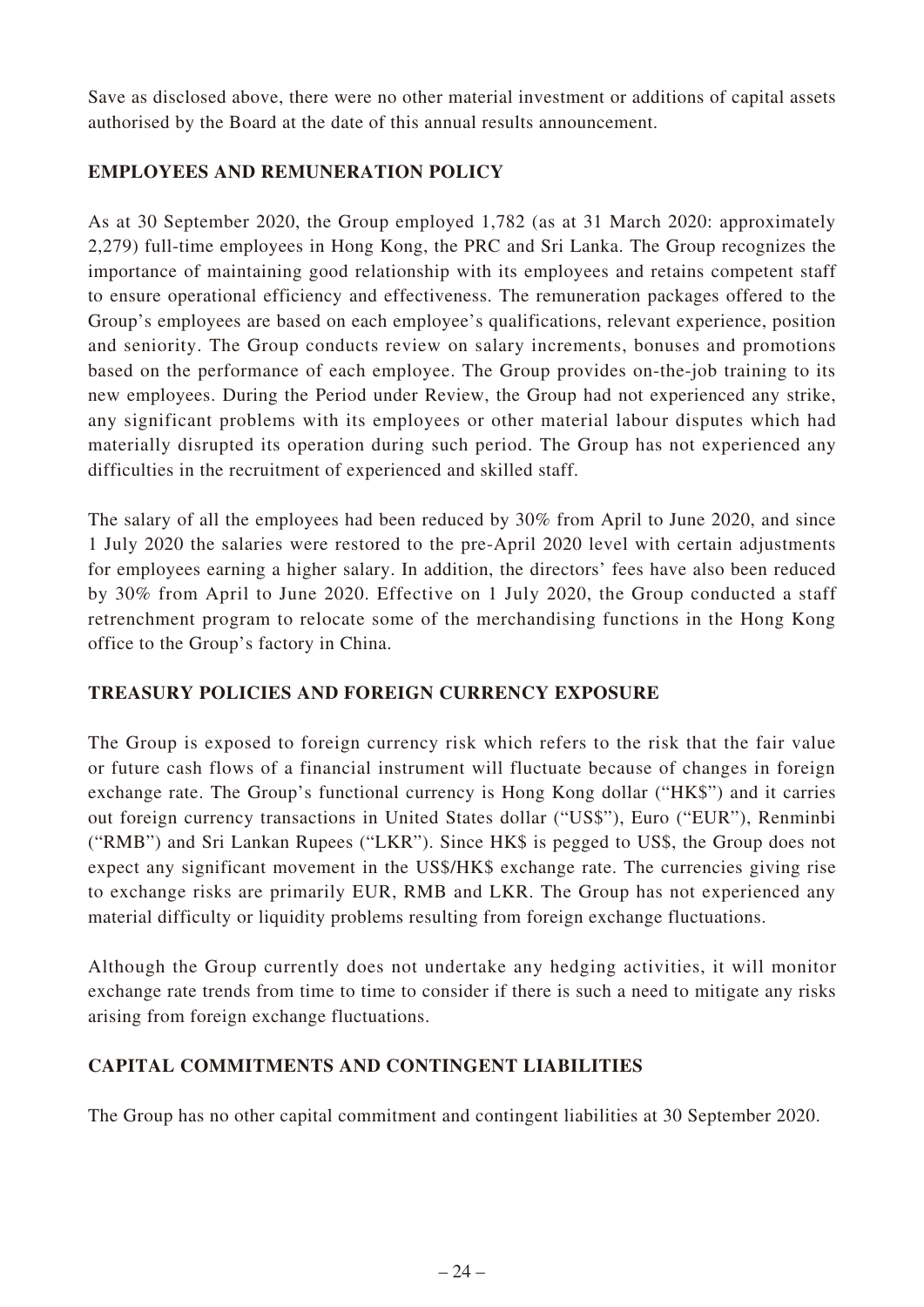Save as disclosed above, there were no other material investment or additions of capital assets authorised by the Board at the date of this annual results announcement.

# **EMPLOYEES AND REMUNERATION POLICY**

As at 30 September 2020, the Group employed 1,782 (as at 31 March 2020: approximately 2,279) full-time employees in Hong Kong, the PRC and Sri Lanka. The Group recognizes the importance of maintaining good relationship with its employees and retains competent staff to ensure operational efficiency and effectiveness. The remuneration packages offered to the Group's employees are based on each employee's qualifications, relevant experience, position and seniority. The Group conducts review on salary increments, bonuses and promotions based on the performance of each employee. The Group provides on-the-job training to its new employees. During the Period under Review, the Group had not experienced any strike, any significant problems with its employees or other material labour disputes which had materially disrupted its operation during such period. The Group has not experienced any difficulties in the recruitment of experienced and skilled staff.

The salary of all the employees had been reduced by 30% from April to June 2020, and since 1 July 2020 the salaries were restored to the pre-April 2020 level with certain adjustments for employees earning a higher salary. In addition, the directors' fees have also been reduced by 30% from April to June 2020. Effective on 1 July 2020, the Group conducted a staff retrenchment program to relocate some of the merchandising functions in the Hong Kong office to the Group's factory in China.

# **TREASURY POLICIES AND FOREIGN CURRENCY EXPOSURE**

The Group is exposed to foreign currency risk which refers to the risk that the fair value or future cash flows of a financial instrument will fluctuate because of changes in foreign exchange rate. The Group's functional currency is Hong Kong dollar ("HK\$") and it carries out foreign currency transactions in United States dollar ("US\$"), Euro ("EUR"), Renminbi ("RMB") and Sri Lankan Rupees ("LKR"). Since HK\$ is pegged to US\$, the Group does not expect any significant movement in the US\$/HK\$ exchange rate. The currencies giving rise to exchange risks are primarily EUR, RMB and LKR. The Group has not experienced any material difficulty or liquidity problems resulting from foreign exchange fluctuations.

Although the Group currently does not undertake any hedging activities, it will monitor exchange rate trends from time to time to consider if there is such a need to mitigate any risks arising from foreign exchange fluctuations.

# **CAPITAL COMMITMENTS AND CONTINGENT LIABILITIES**

The Group has no other capital commitment and contingent liabilities at 30 September 2020.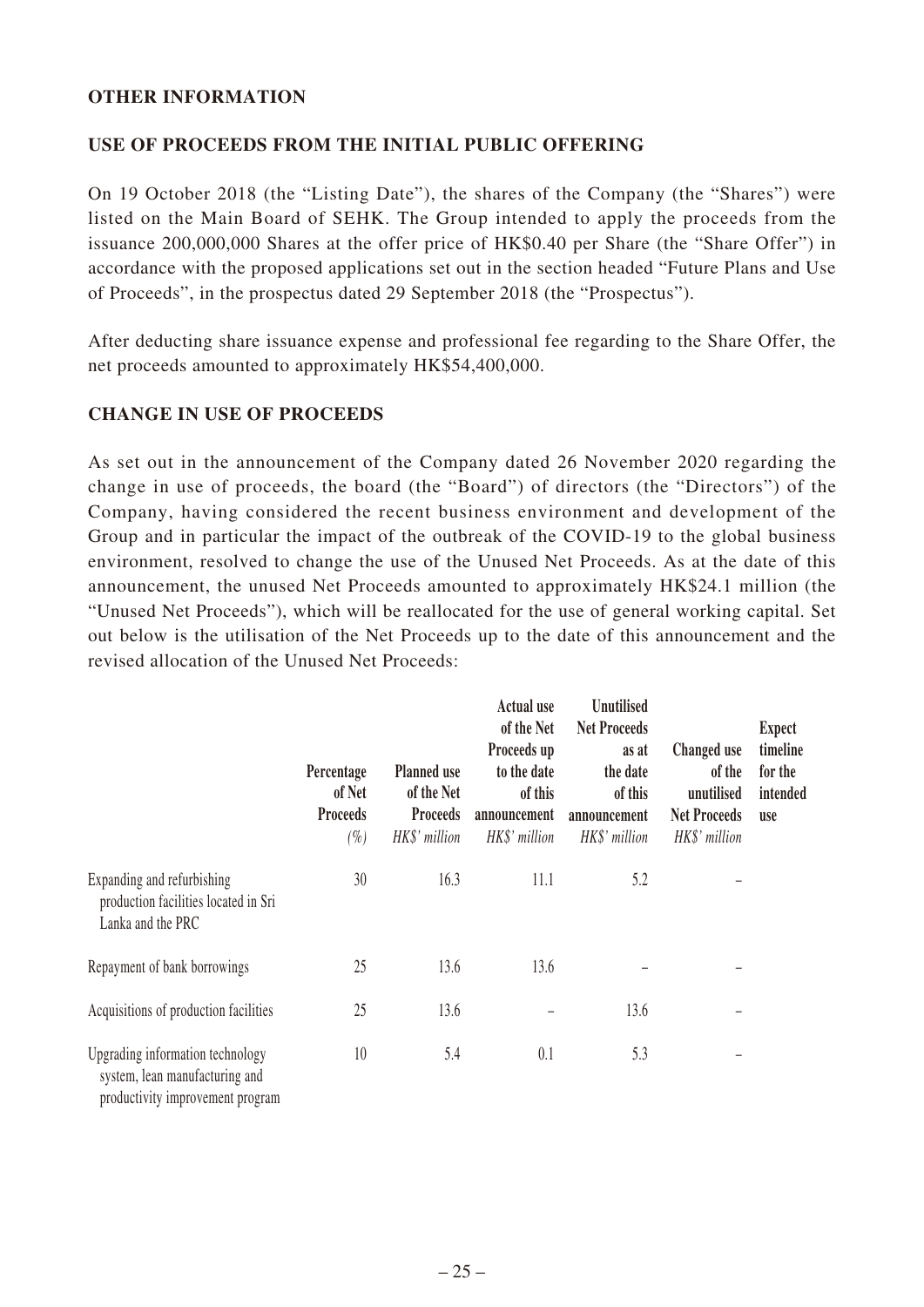### **OTHER INFORMATION**

### **USE OF PROCEEDS FROM THE INITIAL PUBLIC OFFERING**

On 19 October 2018 (the "Listing Date"), the shares of the Company (the "Shares") were listed on the Main Board of SEHK. The Group intended to apply the proceeds from the issuance 200,000,000 Shares at the offer price of HK\$0.40 per Share (the "Share Offer") in accordance with the proposed applications set out in the section headed "Future Plans and Use of Proceeds", in the prospectus dated 29 September 2018 (the "Prospectus").

After deducting share issuance expense and professional fee regarding to the Share Offer, the net proceeds amounted to approximately HK\$54,400,000.

### **CHANGE IN USE OF PROCEEDS**

As set out in the announcement of the Company dated 26 November 2020 regarding the change in use of proceeds, the board (the "Board") of directors (the "Directors") of the Company, having considered the recent business environment and development of the Group and in particular the impact of the outbreak of the COVID-19 to the global business environment, resolved to change the use of the Unused Net Proceeds. As at the date of this announcement, the unused Net Proceeds amounted to approximately HK\$24.1 million (the "Unused Net Proceeds"), which will be reallocated for the use of general working capital. Set out below is the utilisation of the Net Proceeds up to the date of this announcement and the revised allocation of the Unused Net Proceeds:

|                                                                                                        | Percentage<br>of Net<br><b>Proceeds</b><br>$(\%)$ | <b>Planned use</b><br>of the Net<br><b>Proceeds</b><br>HK\$' million | Actual use<br>of the Net<br>Proceeds up<br>to the date<br>of this<br>announcement<br>HK\$' million | <b>Unutilised</b><br><b>Net Proceeds</b><br>as at<br>the date<br>of this<br>announcement<br>HK\$' million | Changed use<br>of the<br>unutilised<br><b>Net Proceeds</b><br>HK\$' million | <b>Expect</b><br>timeline<br>for the<br>intended<br><b>use</b> |
|--------------------------------------------------------------------------------------------------------|---------------------------------------------------|----------------------------------------------------------------------|----------------------------------------------------------------------------------------------------|-----------------------------------------------------------------------------------------------------------|-----------------------------------------------------------------------------|----------------------------------------------------------------|
| Expanding and refurbishing<br>production facilities located in Sri<br>Lanka and the PRC                | 30                                                | 16.3                                                                 | 11.1                                                                                               | 5.2                                                                                                       |                                                                             |                                                                |
| Repayment of bank borrowings                                                                           | 25                                                | 13.6                                                                 | 13.6                                                                                               |                                                                                                           |                                                                             |                                                                |
| Acquisitions of production facilities                                                                  | 25                                                | 13.6                                                                 |                                                                                                    | 13.6                                                                                                      |                                                                             |                                                                |
| Upgrading information technology<br>system, lean manufacturing and<br>productivity improvement program | 10                                                | 5.4                                                                  | 0.1                                                                                                | 5.3                                                                                                       |                                                                             |                                                                |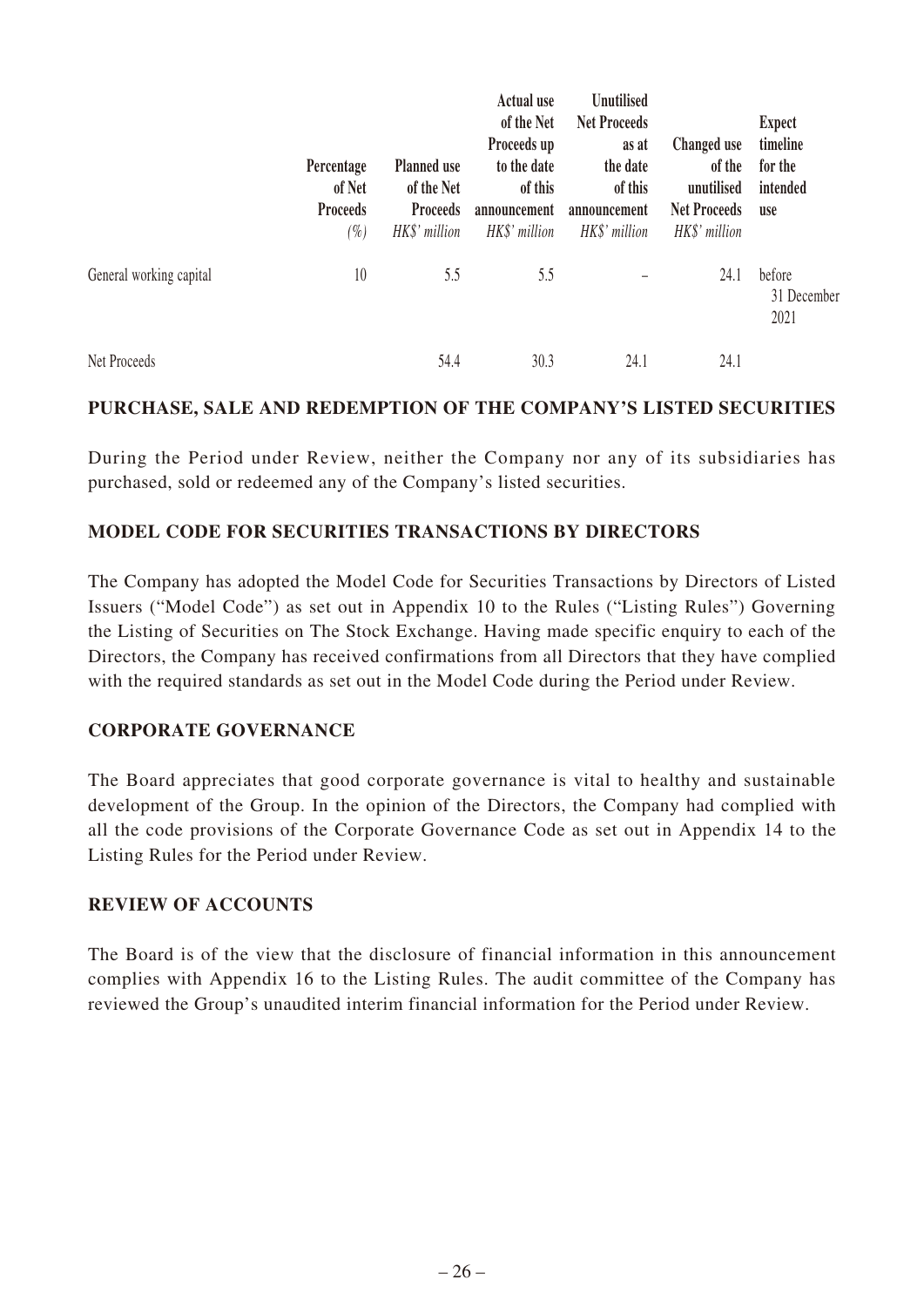|                         | Percentage<br>of Net<br><b>Proceeds</b><br>$(\%)$ | <b>Planned use</b><br>of the Net<br><b>Proceeds</b><br>HK\$' million | <b>Actual use</b><br>of the Net<br>Proceeds up<br>to the date<br>of this<br>announcement<br>HK\$' million | <b>Unutilised</b><br><b>Net Proceeds</b><br>as at<br>the date<br>of this<br>announcement<br>HK\$' million | Changed use<br>of the<br>unutilised<br><b>Net Proceeds</b><br>HK\$' million | <b>Expect</b><br>timeline<br>for the<br>intended<br><b>use</b> |
|-------------------------|---------------------------------------------------|----------------------------------------------------------------------|-----------------------------------------------------------------------------------------------------------|-----------------------------------------------------------------------------------------------------------|-----------------------------------------------------------------------------|----------------------------------------------------------------|
| General working capital | 10                                                | 5.5                                                                  | 5.5                                                                                                       |                                                                                                           | 24.1                                                                        | before<br>31 December<br>2021                                  |
| Net Proceeds            |                                                   | 54.4                                                                 | 30.3                                                                                                      | 24.1                                                                                                      | 24.1                                                                        |                                                                |

### **PURCHASE, SALE AND REDEMPTION OF THE COMPANY'S LISTED SECURITIES**

During the Period under Review, neither the Company nor any of its subsidiaries has purchased, sold or redeemed any of the Company's listed securities.

# **MODEL CODE FOR SECURITIES TRANSACTIONS BY DIRECTORS**

The Company has adopted the Model Code for Securities Transactions by Directors of Listed Issuers ("Model Code") as set out in Appendix 10 to the Rules ("Listing Rules") Governing the Listing of Securities on The Stock Exchange. Having made specific enquiry to each of the Directors, the Company has received confirmations from all Directors that they have complied with the required standards as set out in the Model Code during the Period under Review.

### **CORPORATE GOVERNANCE**

The Board appreciates that good corporate governance is vital to healthy and sustainable development of the Group. In the opinion of the Directors, the Company had complied with all the code provisions of the Corporate Governance Code as set out in Appendix 14 to the Listing Rules for the Period under Review.

### **REVIEW OF ACCOUNTS**

The Board is of the view that the disclosure of financial information in this announcement complies with Appendix 16 to the Listing Rules. The audit committee of the Company has reviewed the Group's unaudited interim financial information for the Period under Review.